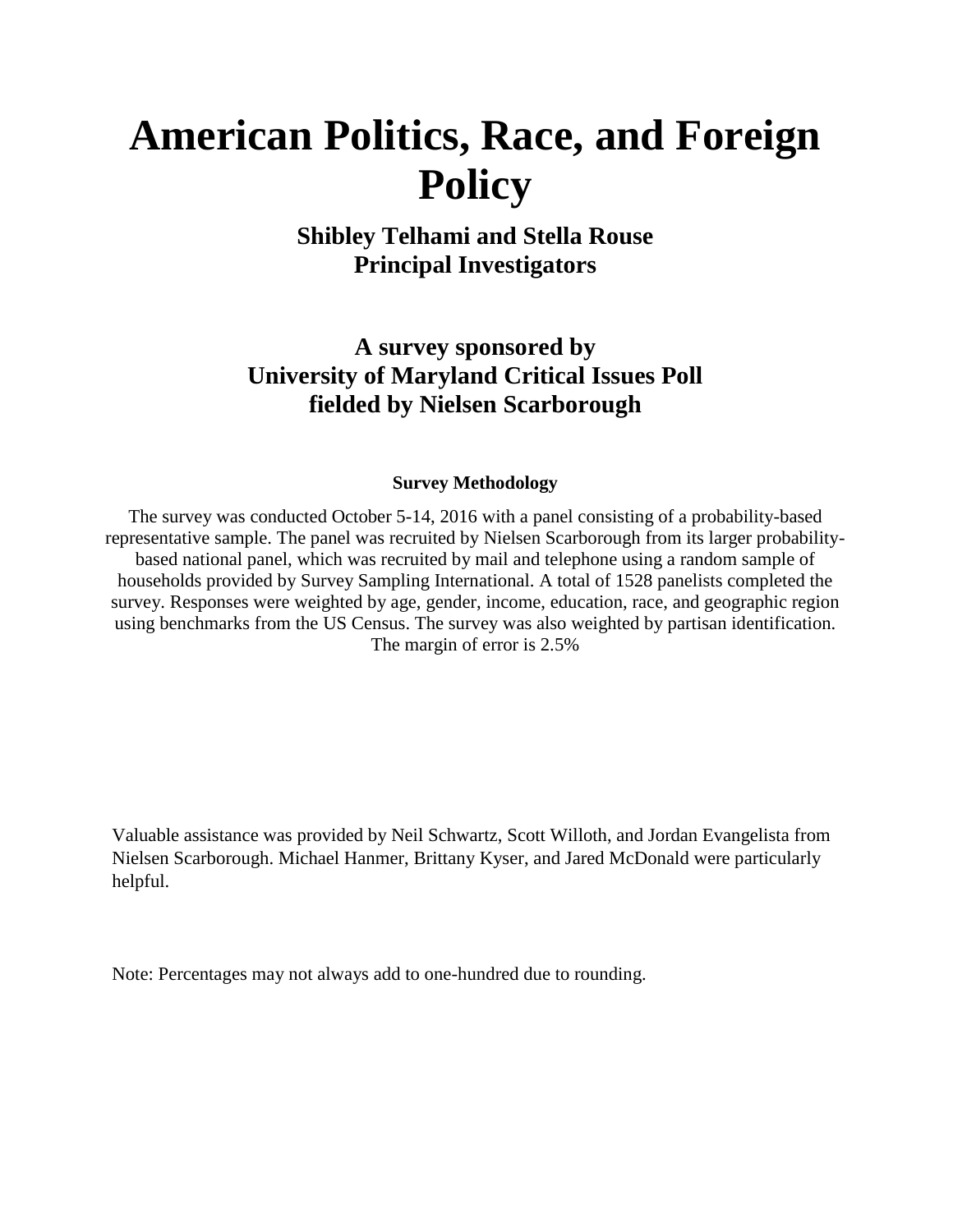# **American Politics, Race, and Foreign Policy**

**Shibley Telhami and Stella Rouse Principal Investigators**

**A survey sponsored by University of Maryland Critical Issues Poll fielded by Nielsen Scarborough**

#### **Survey Methodology**

The survey was conducted October 5-14, 2016 with a panel consisting of a probability-based representative sample. The panel was recruited by Nielsen Scarborough from its larger probabilitybased national panel, which was recruited by mail and telephone using a random sample of households provided by Survey Sampling International. A total of 1528 panelists completed the survey. Responses were weighted by age, gender, income, education, race, and geographic region using benchmarks from the US Census. The survey was also weighted by partisan identification. The margin of error is 2.5%

Valuable assistance was provided by Neil Schwartz, Scott Willoth, and Jordan Evangelista from Nielsen Scarborough. Michael Hanmer, Brittany Kyser, and Jared McDonald were particularly helpful.

Note: Percentages may not always add to one-hundred due to rounding.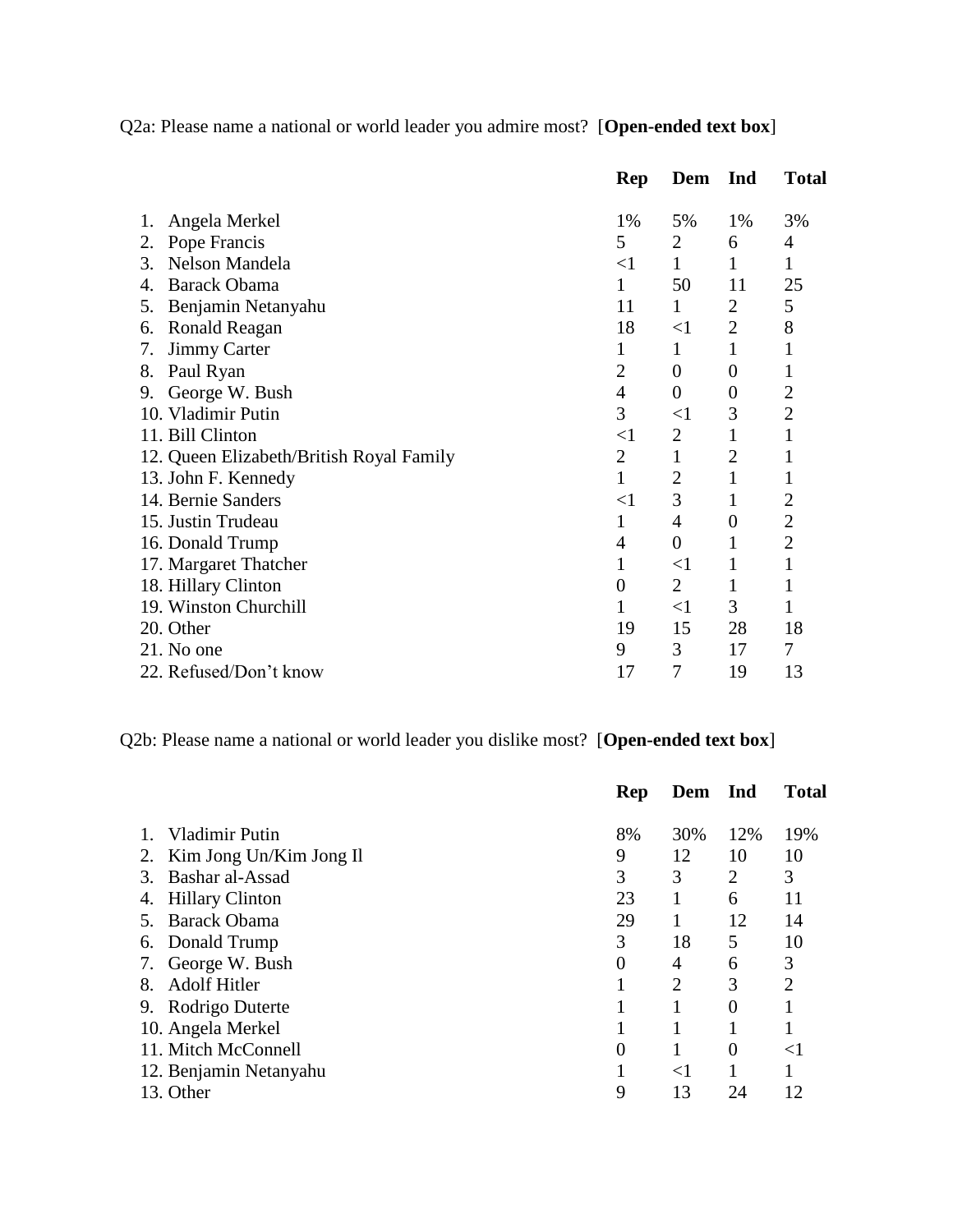Q2a: Please name a national or world leader you admire most? [**Open-ended text box**]

|                                          | Rep            | Dem              | Ind              | <b>Total</b>   |
|------------------------------------------|----------------|------------------|------------------|----------------|
| Angela Merkel<br>1.                      | 1%             | 5%               | 1%               | 3%             |
| Pope Francis<br>2.                       | 5              | $\overline{2}$   | 6                | 4              |
| Nelson Mandela<br>3.                     | $<$ 1          | $\mathbf{1}$     | $\mathbf{1}$     | 1              |
| <b>Barack Obama</b><br>4.                | 1              | 50               | 11               | 25             |
| Benjamin Netanyahu<br>5.                 | 11             | $\mathbf{1}$     | $\overline{2}$   | 5              |
| <b>Ronald Reagan</b><br>6.               | 18             | $<$ 1            | $\overline{2}$   | 8              |
| <b>Jimmy Carter</b><br>7.                | 1              | 1                | $\mathbf{1}$     | 1              |
| Paul Ryan<br>8.                          | $\overline{2}$ | $\overline{0}$   | $\overline{0}$   | $\mathbf{1}$   |
| George W. Bush<br>9.                     | 4              | $\boldsymbol{0}$ | $\boldsymbol{0}$ | $\overline{2}$ |
| 10. Vladimir Putin                       | 3              | $<$ 1            | 3                | $\overline{2}$ |
| 11. Bill Clinton                         | $<$ 1          | 2                | 1                | 1              |
| 12. Queen Elizabeth/British Royal Family | $\overline{2}$ | 1                | $\overline{2}$   | 1              |
| 13. John F. Kennedy                      | 1              | $\overline{2}$   | $\mathbf{1}$     | 1              |
| 14. Bernie Sanders                       | $<$ 1          | 3                | 1                | $\overline{2}$ |
| 15. Justin Trudeau                       | 1              | 4                | $\boldsymbol{0}$ | $\overline{2}$ |
| 16. Donald Trump                         | 4              | $\overline{0}$   | 1                | $\overline{2}$ |
| 17. Margaret Thatcher                    | $\mathbf 1$    | $<$ $1$          | $\mathbf{1}$     | 1              |
| 18. Hillary Clinton                      | $\overline{0}$ | 2                | $\mathbf{1}$     | $\mathbf{1}$   |
| 19. Winston Churchill                    | 1              | $<$ 1            | 3                | 1              |
| 20. Other                                | 19             | 15               | 28               | 18             |
| 21. No one                               | 9              | 3                | 17               | 7              |
| 22. Refused/Don't know                   | 17             | 7                | 19               | 13             |

Q2b: Please name a national or world leader you dislike most? [**Open-ended text box**]

|                               | <b>Rep</b>     | Dem            | Ind            | <b>Total</b>   |
|-------------------------------|----------------|----------------|----------------|----------------|
| <b>Vladimir Putin</b>         | 8%             | 30%            | 12%            | 19%            |
| Kim Jong Un/Kim Jong Il<br>2. | 9              | 12             | 10             | 10             |
| Bashar al-Assad<br>3.         | 3              | 3              | $\overline{2}$ | 3              |
| <b>Hillary Clinton</b><br>4.  | 23             |                | 6              | 11             |
| <b>Barack Obama</b>           | 29             |                | 12             | 14             |
| Donald Trump<br>6.            | 3              | 18             | 5              | 10             |
| George W. Bush<br>7.          | $\overline{0}$ | 4              | 6              | 3              |
| <b>Adolf Hitler</b><br>8.     | 1              | $\overline{2}$ | 3              | $\overline{2}$ |
| 9. Rodrigo Duterte            |                |                | $\Omega$       |                |
| 10. Angela Merkel             | 1              |                | 1              |                |
| 11. Mitch McConnell           | 0              |                | $\Omega$       | ${<}1$         |
| 12. Benjamin Netanyahu        |                | $<$ 1          |                |                |
| 13. Other                     | 9              | 13             | 24             | 12             |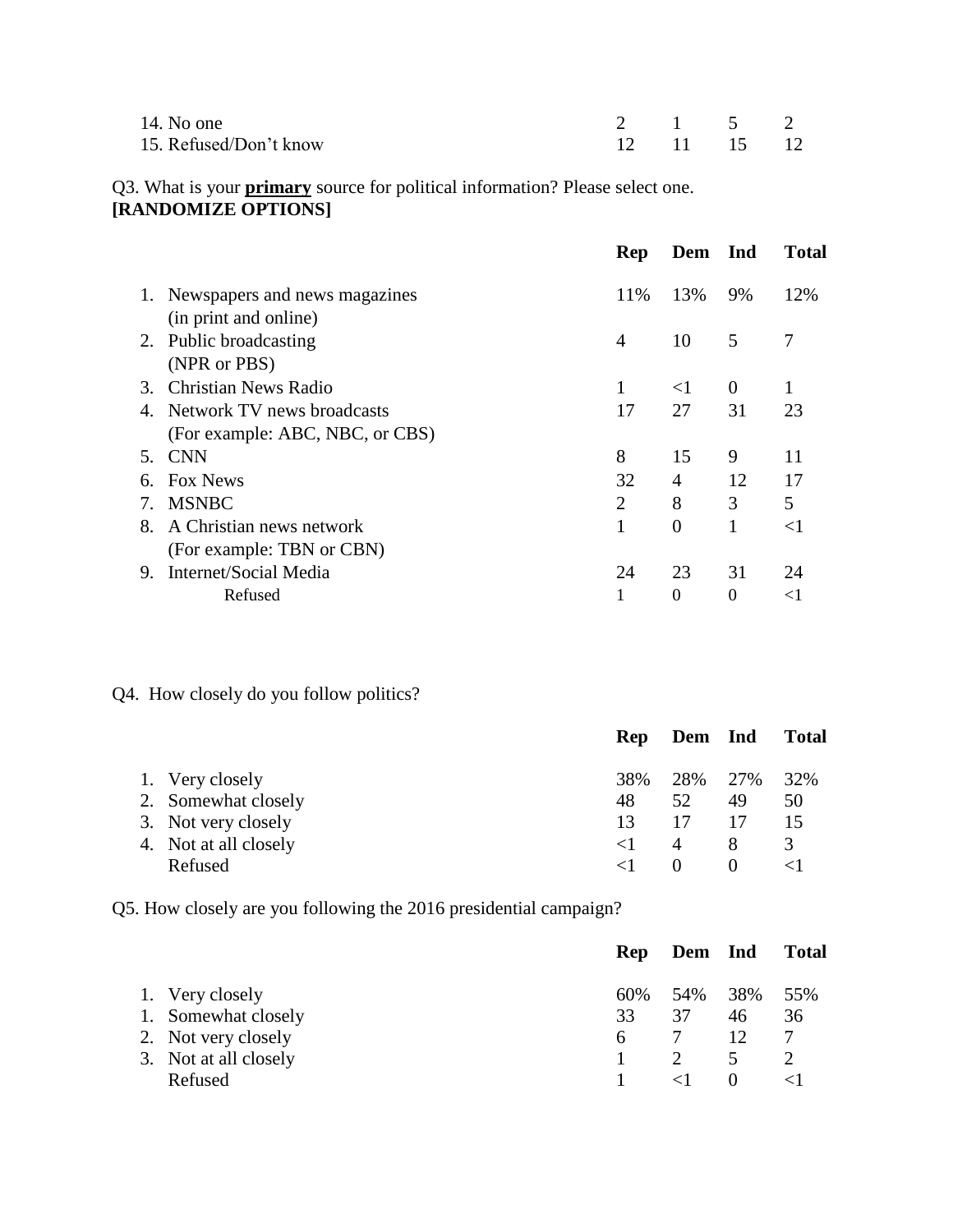| 14. No one             | 2 1 5 2     |  |  |
|------------------------|-------------|--|--|
| 15. Refused/Don't know | 12 11 15 12 |  |  |

# Q3. What is your **primary** source for political information? Please select one. **[RANDOMIZE OPTIONS]**

|                        |                                  | Rep | Dem Ind        |          | <b>Total</b>   |
|------------------------|----------------------------------|-----|----------------|----------|----------------|
|                        | 1. Newspapers and news magazines | 11% | 13%            | 9%       | 12%            |
|                        | (in print and online)            |     |                |          |                |
|                        | 2. Public broadcasting           | 4   | 10             | 5        | $\overline{7}$ |
|                        | (NPR or PBS)                     |     |                |          |                |
| $\mathcal{R}_{\alpha}$ | Christian News Radio             | 1   | $\leq$ 1       | $\theta$ |                |
| 4.                     | Network TV news broadcasts       | 17  | 27             | 31       | 23             |
|                        | (For example: ABC, NBC, or CBS)  |     |                |          |                |
|                        | 5. CNN                           | 8   | 15             | 9        | 11             |
| 6.                     | <b>Fox News</b>                  | 32  | 4              | 12       | 17             |
| 7.                     | <b>MSNBC</b>                     | 2   | 8              | 3        | 5              |
| 8.                     | A Christian news network         | 1   | $\overline{0}$ | 1        | $<$ 1          |
|                        | (For example: TBN or CBN)        |     |                |          |                |
| 9.                     | Internet/Social Media            | 24  | 23             | 31       | 24             |
|                        | Refused                          | 1   | $\theta$       | $\Omega$ | $<$ 1          |
|                        |                                  |     |                |          |                |

# Q4. How closely do you follow politics?

|                       |          | Rep Dem Ind |          | <b>Total</b> |
|-----------------------|----------|-------------|----------|--------------|
| 1. Very closely       | 38%      | 28% 27%     |          | 32%          |
| 2. Somewhat closely   | 48       | 52          | 49       | 50           |
| 3. Not very closely   | 13       | 17          |          | 15           |
| 4. Not at all closely | $\leq$ 1 | 4           | 8        | 3            |
| Refused               |          | $\theta$    | $\theta$ |              |

Q5. How closely are you following the 2016 presidential campaign?

|                       |     | Rep Dem Ind |          | Total |
|-----------------------|-----|-------------|----------|-------|
| 1. Very closely       | 60% | 54% 38%     |          | 55%   |
| 1. Somewhat closely   | 33  | 37          | 46       | 36    |
| 2. Not very closely   | 6.  |             | 12       |       |
| 3. Not at all closely |     |             | 5        |       |
| Refused               |     |             | $\theta$ |       |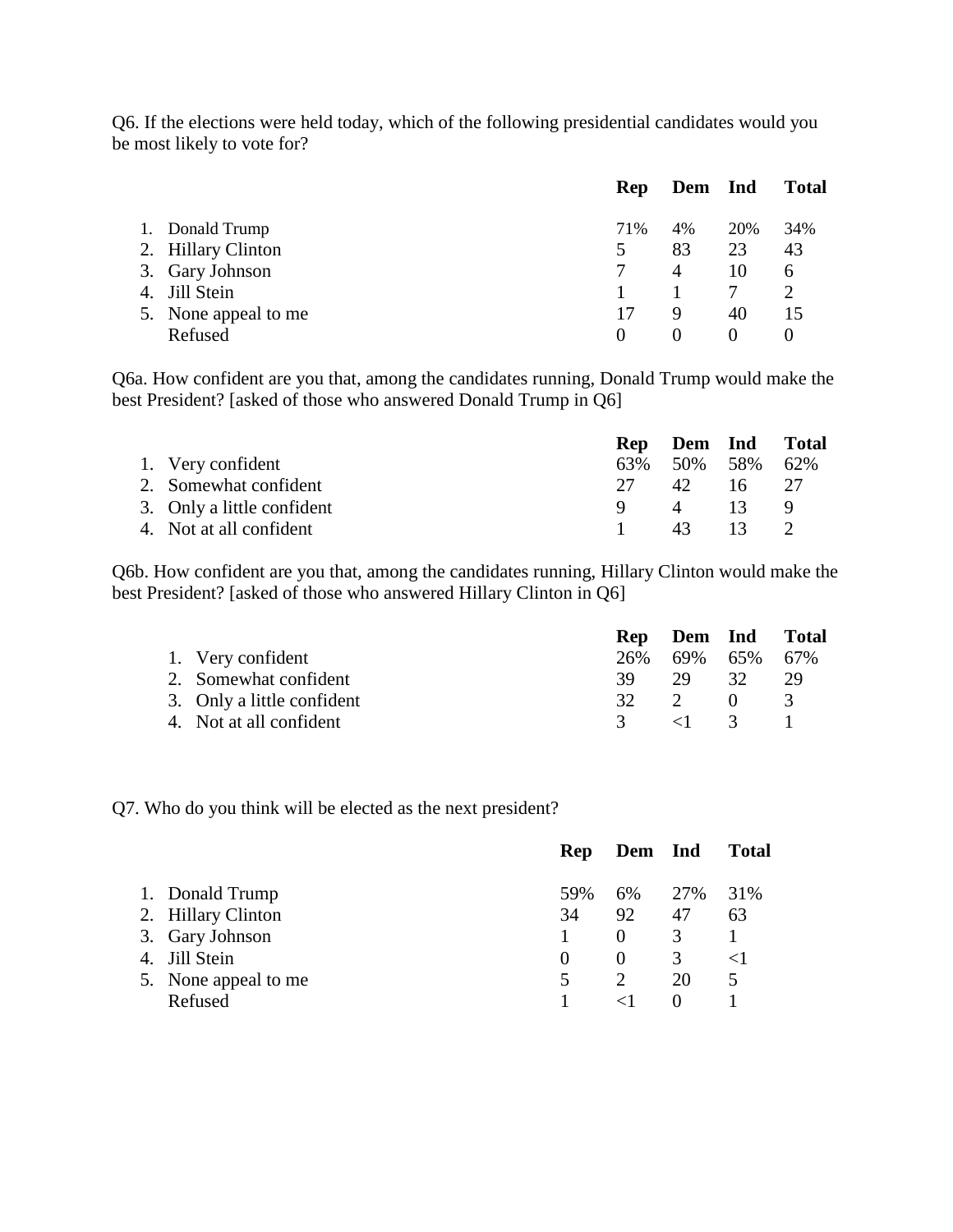Q6. If the elections were held today, which of the following presidential candidates would you be most likely to vote for?

|                      | Rep      | Dem Ind  |          | <b>Total</b> |
|----------------------|----------|----------|----------|--------------|
| 1. Donald Trump      | 71%      | 4%       | 20%      | 34%          |
| 2. Hillary Clinton   | 5        | 83       | 23       | 43           |
| 3. Gary Johnson      |          | 4        | 10       | 6            |
| 4. Jill Stein        |          |          |          | 2            |
| 5. None appeal to me | 17       | 9        | 40       | 15           |
| Refused              | $\theta$ | $\theta$ | $\theta$ | $\theta$     |

Q6a. How confident are you that, among the candidates running, Donald Trump would make the best President? [asked of those who answered Donald Trump in Q6]

|                            |     | Rep Dem Ind Total   |                 |  |
|----------------------------|-----|---------------------|-----------------|--|
| 1. Very confident          |     | 63\% 50\% 58\% 62\% |                 |  |
| 2. Somewhat confident      | 27. | 42.                 | $16 \t 27$      |  |
| 3. Only a little confident |     | $\overline{4}$      | -13-            |  |
| 4. Not at all confident    |     | 43                  | $\overline{13}$ |  |

Q6b. How confident are you that, among the candidates running, Hillary Clinton would make the best President? [asked of those who answered Hillary Clinton in Q6]

|                            |      |                       |     | Rep Dem Ind Total |
|----------------------------|------|-----------------------|-----|-------------------|
| 1. Very confident          | 26%  | 69% 65% 67%           |     |                   |
| 2. Somewhat confident      | 39.  | 29                    | 32. | 29                |
| 3. Only a little confident | 32 F | $\mathcal{D}$         | - 0 | -3                |
| 4. Not at all confident    |      | $\langle 1 \rangle$ 3 |     |                   |

Q7. Who do you think will be elected as the next president?

|                      | Rep      | Dem Ind  |          | <b>Total</b> |
|----------------------|----------|----------|----------|--------------|
| 1. Donald Trump      | 59%      | 6%       | 27%      | 31%          |
| 2. Hillary Clinton   | 34       | 92       | 47       | 63           |
| 3. Gary Johnson      |          |          | 3        |              |
| 4. Jill Stein        | $\theta$ | $\theta$ | 3        |              |
| 5. None appeal to me | 5        |          | 20       | 5            |
| Refused              |          |          | $\theta$ |              |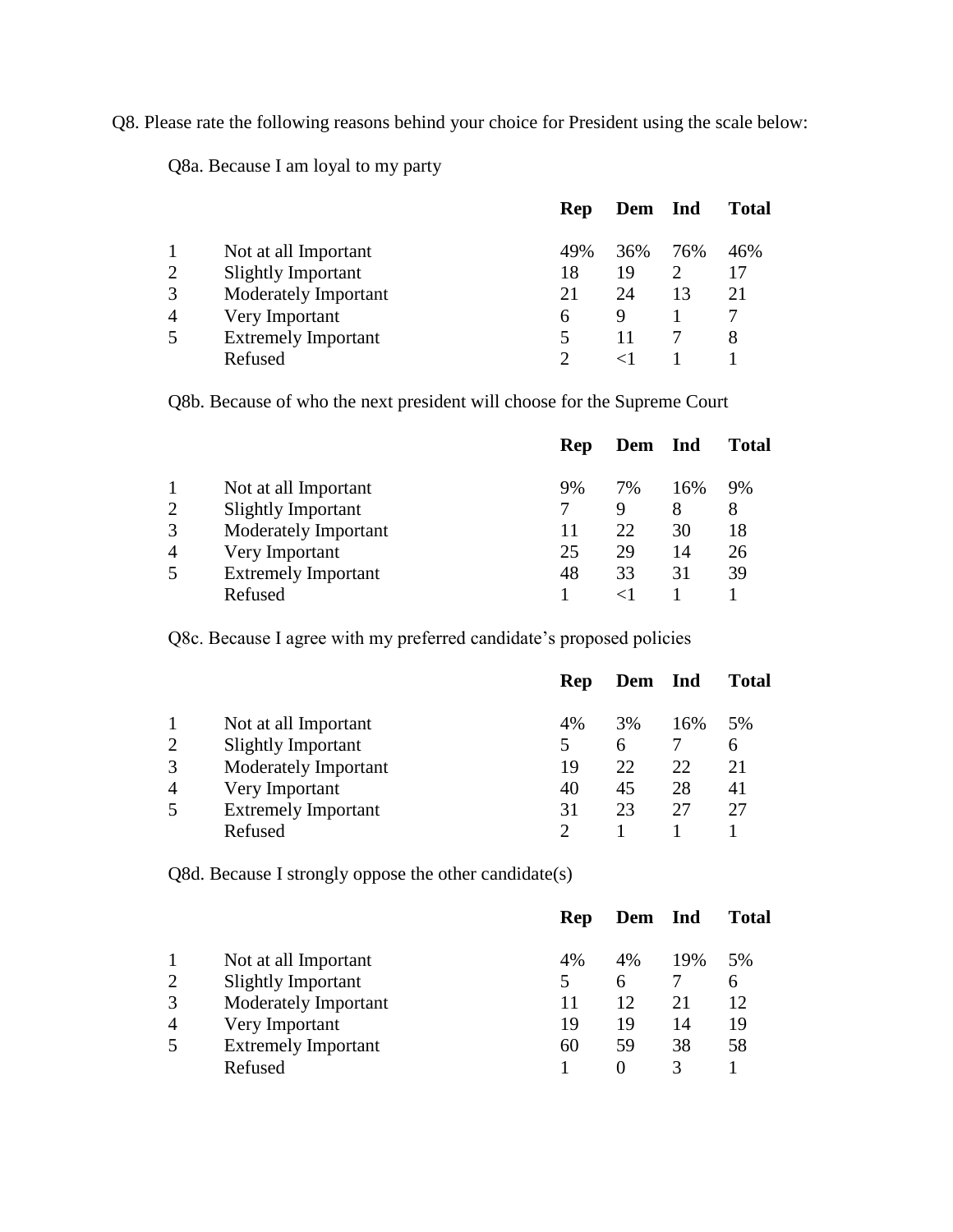Q8. Please rate the following reasons behind your choice for President using the scale below:

Q8a. Because I am loyal to my party

|                |                            | Rep | Dem Ind |     | <b>Total</b> |
|----------------|----------------------------|-----|---------|-----|--------------|
|                | Not at all Important       | 49% | 36%     | 76% | 46%          |
| 2              | <b>Slightly Important</b>  | 18  | 19      |     | 17           |
| 3              | Moderately Important       | 21  | 24      | 13  | 21           |
| $\overline{4}$ | Very Important             | h   | Q       |     |              |
| 5              | <b>Extremely Important</b> |     |         |     | 8            |
|                | Refused                    |     |         |     |              |

Q8b. Because of who the next president will choose for the Supreme Court

|                |                            | Rep | Dem | Ind | <b>Total</b> |
|----------------|----------------------------|-----|-----|-----|--------------|
|                | Not at all Important       | 9%  | 7%  | 16% | 9%           |
| $\overline{2}$ | <b>Slightly Important</b>  |     | Q   | 8   | 8            |
| 3              | Moderately Important       |     | 22  | 30  | 18           |
| $\overline{A}$ | Very Important             | 25  | 29  | 14  | 26           |
| 5              | <b>Extremely Important</b> | 48  | 33  | 31  | 39           |
|                | Refused                    |     |     |     |              |

Q8c. Because I agree with my preferred candidate's proposed policies

|                |                            | Rep | Dem Ind |     | <b>Total</b> |
|----------------|----------------------------|-----|---------|-----|--------------|
|                | Not at all Important       | 4%  | 3%      | 16% | 5%           |
| $\overline{2}$ | <b>Slightly Important</b>  |     | 6       |     | 6            |
| 3              | Moderately Important       | 19  | 22      | 22  | 21           |
| $\overline{4}$ | Very Important             | 40  | 45      | 28  | 41           |
| 5              | <b>Extremely Important</b> | 31  | 23      | 27  | 27           |
|                | Refused                    |     |         |     |              |

Q8d. Because I strongly oppose the other candidate(s)

|                                             | Rep | Dem | Ind | <b>Total</b> |
|---------------------------------------------|-----|-----|-----|--------------|
| Not at all Important                        | 4%  | 4%  | 19% | 5%           |
| $\overline{2}$<br><b>Slightly Important</b> |     | 6   |     | 6            |
| 3<br>Moderately Important                   | 11  | 12  | 21  | 12           |
| $\overline{4}$<br>Very Important            | 19  | 19  | 14  | 19           |
| 5<br><b>Extremely Important</b>             | 60  | 59  | 38  | 58           |
| Refused                                     |     |     |     |              |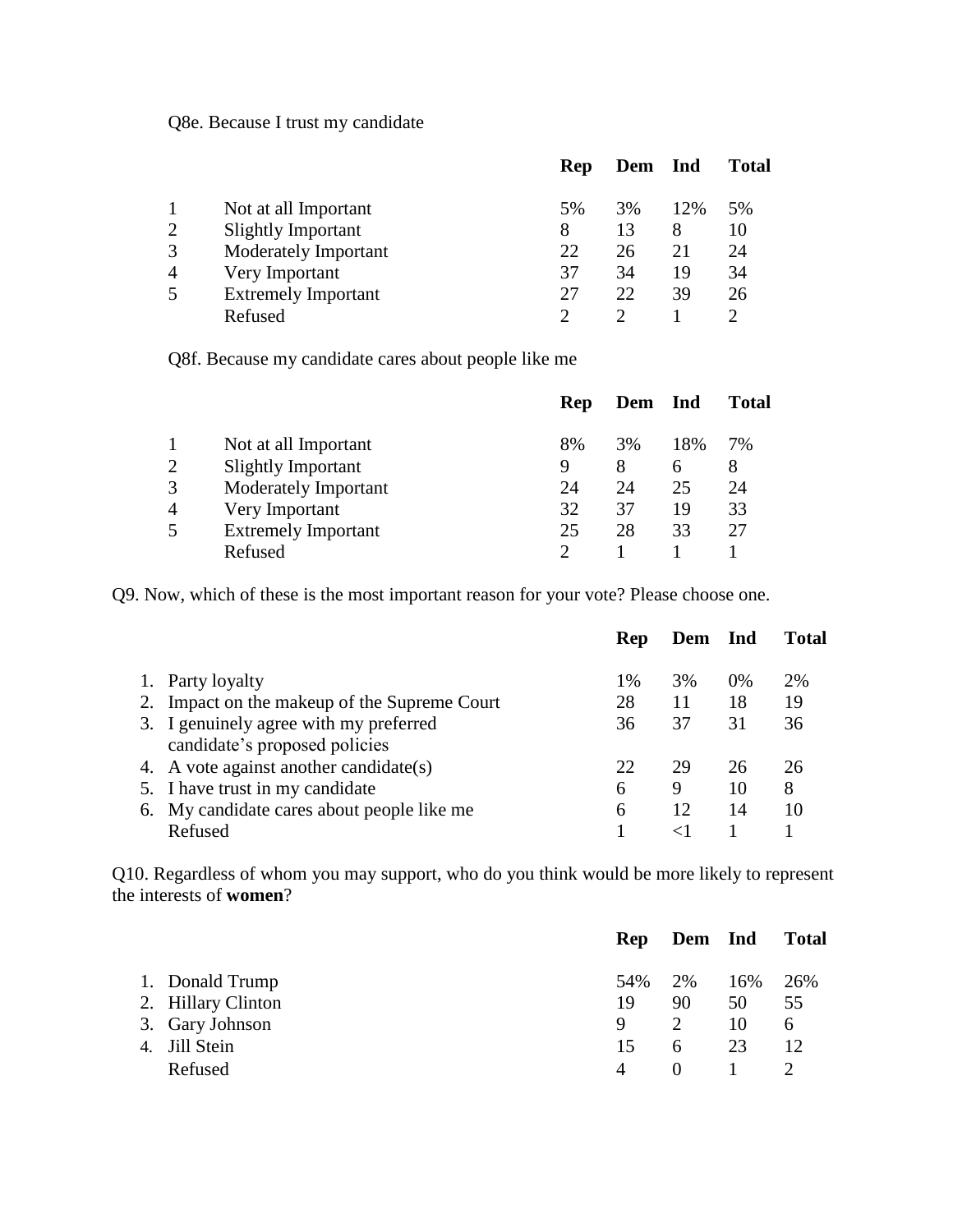Q8e. Because I trust my candidate

|                |                            | Rep | Dem | Ind | <b>Total</b> |
|----------------|----------------------------|-----|-----|-----|--------------|
|                | Not at all Important       | 5%  | 3%  | 12% | 5%           |
| $\overline{2}$ | <b>Slightly Important</b>  | 8   | 13  | 8   | 10           |
| 3              | Moderately Important       | 22  | 26  | 21  | 24           |
| $\overline{4}$ | Very Important             | 37  | 34  | 19  | 34           |
| 5              | <b>Extremely Important</b> | 27  | 22  | 39  | 26           |
|                | Refused                    |     |     |     |              |

Q8f. Because my candidate cares about people like me

|                |                            | <b>Rep</b> | Dem | <b>Ind</b> | <b>Total</b> |
|----------------|----------------------------|------------|-----|------------|--------------|
|                | Not at all Important       | 8%         | 3%  | 18%        | 7%           |
| $\overline{2}$ | <b>Slightly Important</b>  | 9          | 8   | 6          | 8            |
| 3              | Moderately Important       | 24         | 24  | 25         | 24           |
| 4              | Very Important             | 32         | 37  | 19         | 33           |
| 5              | <b>Extremely Important</b> | 25         | 28  | 33         | 27           |
|                | Refused                    |            |     |            |              |

Q9. Now, which of these is the most important reason for your vote? Please choose one.

|                                                                         | Rep | Dem Ind |    | <b>Total</b> |
|-------------------------------------------------------------------------|-----|---------|----|--------------|
| 1. Party loyalty                                                        | 1%  | 3%      | 0% | 2%           |
| 2. Impact on the makeup of the Supreme Court                            | 28  | 11      | 18 | 19           |
| 3. I genuinely agree with my preferred<br>candidate's proposed policies | 36  | 37      | 31 | 36           |
| 4. A vote against another candidate(s)                                  | 22  | 29      | 26 | 26           |
| 5. I have trust in my candidate                                         | 6   | 9       | 10 | 8            |
| 6. My candidate cares about people like me                              | 6   | 12      | 14 | 10           |
| Refused                                                                 |     |         |    |              |

Q10. Regardless of whom you may support, who do you think would be more likely to represent the interests of **women**?

|                    |                | Rep Dem Ind |     | <b>Total</b> |
|--------------------|----------------|-------------|-----|--------------|
| 1. Donald Trump    | 54% 2%         |             | 16% | 26%          |
| 2. Hillary Clinton | 19             | 90          | 50  | 55           |
| 3. Gary Johnson    | 9              | 2           | 10  | 6            |
| 4. Jill Stein      | 15             | 6           | 23  | 12           |
| Refused            | $\overline{4}$ | $\Omega$    |     |              |
|                    |                |             |     |              |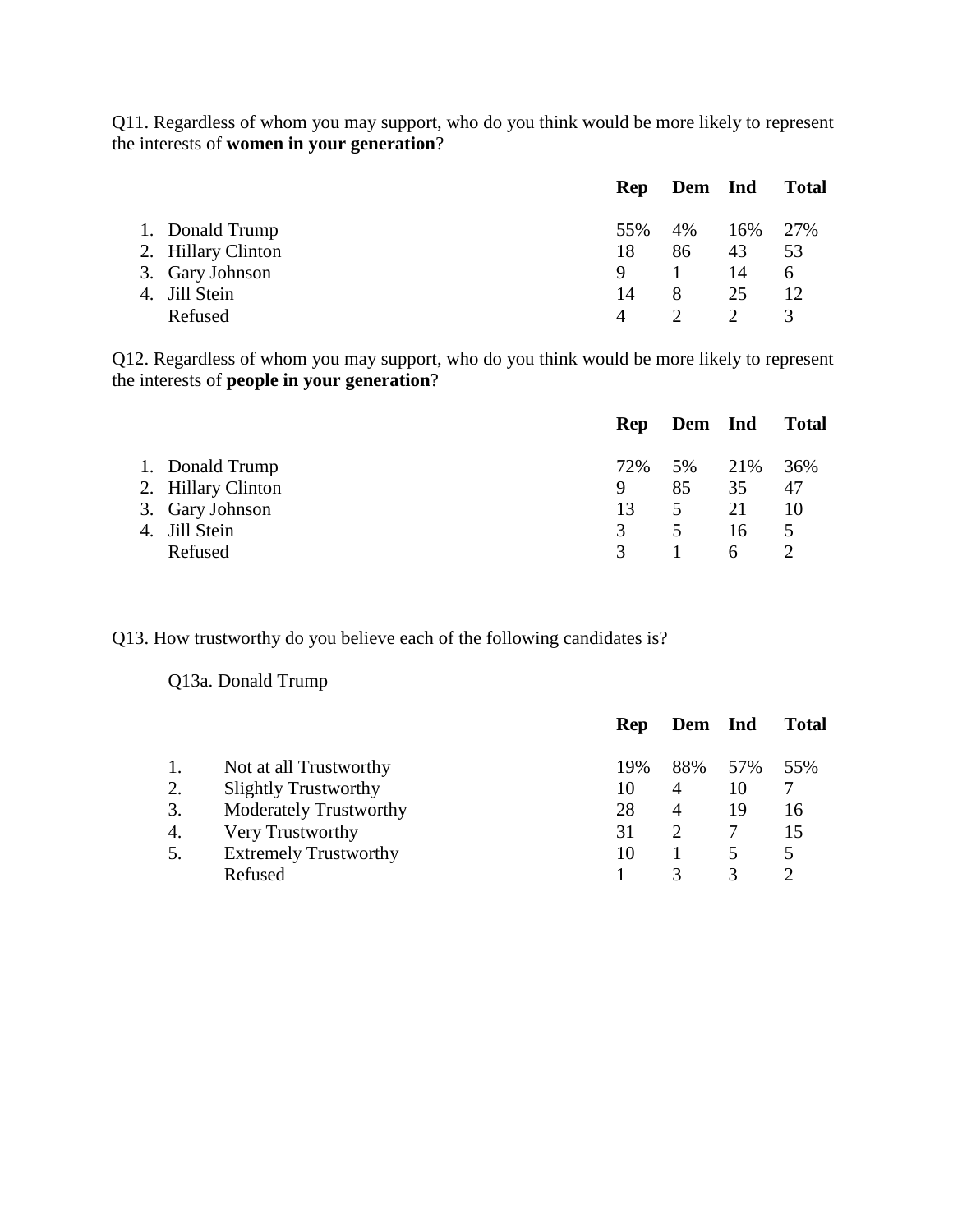Q11. Regardless of whom you may support, who do you think would be more likely to represent the interests of **women in your generation**?

|         |                                                                           |    |    | <b>Total</b>                  |
|---------|---------------------------------------------------------------------------|----|----|-------------------------------|
|         |                                                                           |    |    |                               |
|         | 18                                                                        | 86 | 43 | 53                            |
|         |                                                                           |    | 14 | 6                             |
|         | 14                                                                        | 8  | 25 |                               |
| Refused |                                                                           |    |    | 3                             |
|         | 1. Donald Trump<br>2. Hillary Clinton<br>3. Gary Johnson<br>4. Jill Stein |    |    | Rep Dem Ind<br>55% 4% 16% 27% |

Q12. Regardless of whom you may support, who do you think would be more likely to represent the interests of **people in your generation**?

|                    |               | Rep Dem Ind    |    | <b>Total</b>   |
|--------------------|---------------|----------------|----|----------------|
| 1. Donald Trump    | 72%           | 5% 21%         |    | 36%            |
| 2. Hillary Clinton | 9             | 85             | 35 | 47             |
| 3. Gary Johnson    | 13            | $5 \t 21$      |    | 10             |
| 4. Jill Stein      | 3             | 5 <sup>7</sup> | 16 | $\overline{5}$ |
| Refused            | $\mathcal{R}$ |                | 6  |                |
|                    |               |                |    |                |

Q13. How trustworthy do you believe each of the following candidates is?

Q13a. Donald Trump

|                               | Rep | Dem |     | <b>Total</b> |
|-------------------------------|-----|-----|-----|--------------|
| Not at all Trustworthy        | 19% | 88% | 57% | 55%          |
| <b>Slightly Trustworthy</b>   | 10  | 4   | 10  |              |
| <b>Moderately Trustworthy</b> | 28  | 4   | 19  | 16           |
| Very Trustworthy              | 31  |     |     |              |
| <b>Extremely Trustworthy</b>  | 10  |     |     |              |
| Refused                       |     |     | 3   |              |
|                               |     |     |     | <b>Ind</b>   |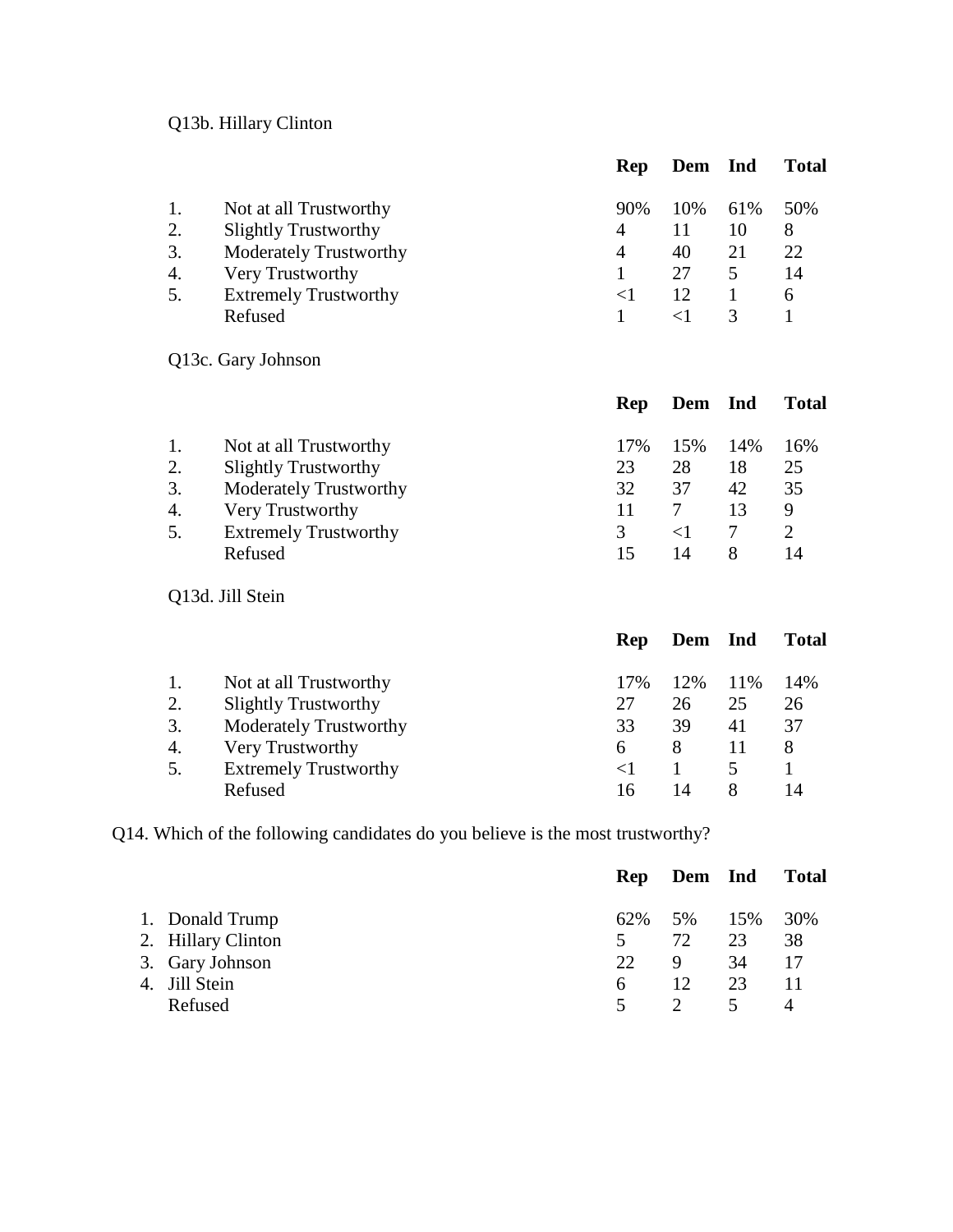# Q13b. Hillary Clinton

|    |                               | Rep | Dem | <b>Ind</b> | <b>Total</b> |
|----|-------------------------------|-----|-----|------------|--------------|
| 1. | Not at all Trustworthy        | 90% | 10% | 61%        | 50%          |
| 2. | <b>Slightly Trustworthy</b>   | 4   |     | 10         | 8            |
| 3. | <b>Moderately Trustworthy</b> | 4   | 40  | 21         | 22           |
| 4. | Very Trustworthy              |     | 27  | 5          | 14           |
| 5. | <b>Extremely Trustworthy</b>  |     | 12  |            | 6            |
|    | Refused                       |     |     |            |              |

# Q13c. Gary Johnson

|    |                               | Rep | Dem Ind |     | <b>Total</b> |
|----|-------------------------------|-----|---------|-----|--------------|
| 1. | Not at all Trustworthy        | 17% | 15%     | 14% | 16%          |
| 2. | <b>Slightly Trustworthy</b>   | 23  | 28      | 18  | 25           |
| 3. | <b>Moderately Trustworthy</b> | 32  | 37      | 42  | 35           |
| 4. | Very Trustworthy              |     |         | 13  | 9            |
| 5. | <b>Extremely Trustworthy</b>  |     |         |     |              |
|    | Refused                       |     | 14      |     | 14           |
|    |                               |     |         |     |              |

# Q13d. Jill Stein

|    |                               | <b>Rep</b> | Dem Ind |     | <b>Total</b> |
|----|-------------------------------|------------|---------|-----|--------------|
|    | Not at all Trustworthy        | 17%        | 12%     | 11% | 14%          |
| 2. | <b>Slightly Trustworthy</b>   | 27         | 26      | 25  | 26           |
| 3. | <b>Moderately Trustworthy</b> | 33         | 39      | 41  | 37           |
| 4. | Very Trustworthy              | 6          | 8       | 11  | 8            |
| 5. | <b>Extremely Trustworthy</b>  |            |         |     |              |
|    | Refused                       | 16         | 14      |     | 14           |

Q14. Which of the following candidates do you believe is the most trustworthy?

|         |                                                                           |    |     | <b>Total</b>          |
|---------|---------------------------------------------------------------------------|----|-----|-----------------------|
|         |                                                                           |    |     | 30%                   |
|         | 5.                                                                        | 72 | 23  | 38                    |
|         | 22.                                                                       | 9  | 34  | 17                    |
|         | 6                                                                         | 12 | 23  | 11                    |
| Refused | 5                                                                         |    | 5   |                       |
|         | 1. Donald Trump<br>2. Hillary Clinton<br>3. Gary Johnson<br>4. Jill Stein |    | 62% | Rep Dem Ind<br>5% 15% |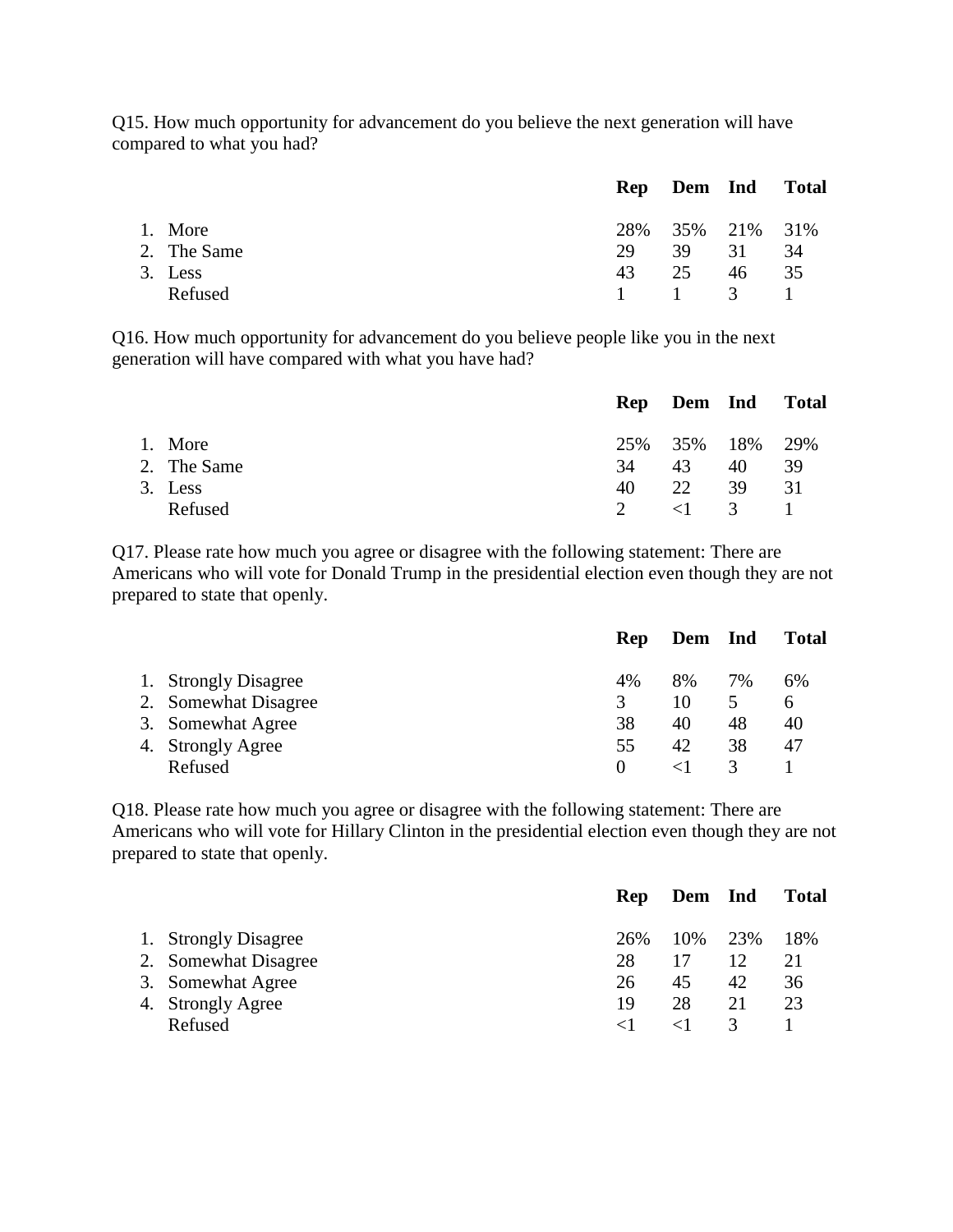Q15. How much opportunity for advancement do you believe the next generation will have compared to what you had?

|             |    | Rep Dem Ind Total |    |      |
|-------------|----|-------------------|----|------|
| 1. More     |    | 28% 35% 21% 31%   |    |      |
| 2. The Same | 29 | 39 31             |    | -34  |
| 3. Less     | 43 | 25                | 46 | - 35 |
| Refused     |    | 1 1 3 1           |    |      |
|             |    |                   |    |      |

Q16. How much opportunity for advancement do you believe people like you in the next generation will have compared with what you have had?

|             |               |                       |    | Rep Dem Ind Total |
|-------------|---------------|-----------------------|----|-------------------|
| 1. More     |               | 25\% 35\% 18\% 29\%   |    |                   |
| 2. The Same | 34            | 43                    | 40 | -39               |
| 3. Less     | 40            | 22                    | 39 | - 31              |
| Refused     | $\mathcal{D}$ | $\langle 1 \rangle$ 3 |    | $\sim$ 1 $\sim$   |

Q17. Please rate how much you agree or disagree with the following statement: There are Americans who will vote for Donald Trump in the presidential election even though they are not prepared to state that openly.

|                      | Rep      | Dem Ind |    | <b>Total</b> |
|----------------------|----------|---------|----|--------------|
| 1. Strongly Disagree | 4%       | 8%      | 7% | 6%           |
| 2. Somewhat Disagree | 3        | 10      |    | h            |
| 3. Somewhat Agree    | 38       | 40      | 48 | 40           |
| 4. Strongly Agree    | 55       | 42      | 38 | 47           |
| Refused              | $\theta$ |         |    |              |

Q18. Please rate how much you agree or disagree with the following statement: There are Americans who will vote for Hillary Clinton in the presidential election even though they are not prepared to state that openly.

|                      | <b>Rep</b> | Dem Ind   |    | <b>Total</b> |
|----------------------|------------|-----------|----|--------------|
| 1. Strongly Disagree | 26%        | 10\% 23\% |    | 18%          |
| 2. Somewhat Disagree | 28         |           |    | 21           |
| 3. Somewhat Agree    | 26         | 45        | 42 | 36           |
| 4. Strongly Agree    | 19         | 28        | 21 | 23           |
| Refused              |            |           | 3  |              |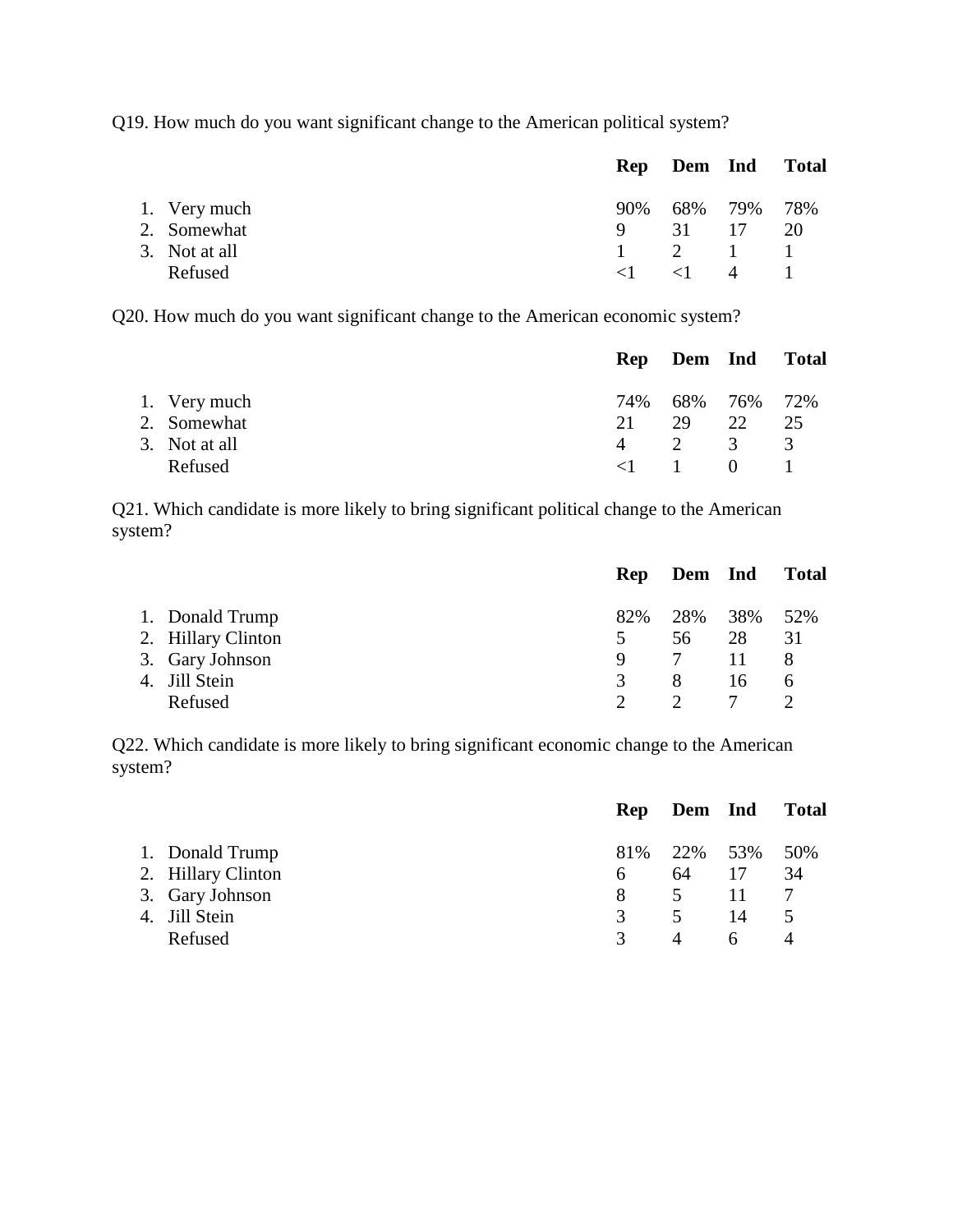Q19. How much do you want significant change to the American political system?

|               |              |                       |             | Rep Dem Ind Total |
|---------------|--------------|-----------------------|-------------|-------------------|
| 1. Very much  | 90%          |                       | 68% 79% 78% |                   |
| 2. Somewhat   | $\mathbf{Q}$ | 31 17 20              |             |                   |
| 3. Not at all |              | $1 \t 2 \t 1 \t 1$    |             |                   |
| Refused       | $\leq$ 1     | $\langle 1 \rangle$ 4 |             |                   |

Q20. How much do you want significant change to the American economic system?

|               |          |                        |                | Rep Dem Ind Total |
|---------------|----------|------------------------|----------------|-------------------|
| 1. Very much  |          | 74% 68% 76% 72%        |                |                   |
| 2. Somewhat   | 21       | 29                     | 22             | 25                |
| 3. Not at all | 4        | $\overline{2}$         | $\overline{3}$ | $\mathcal{R}$     |
| Refused       | $\leq 1$ | $\sim$ 1 $\sim$ $\sim$ | $\theta$       |                   |

Q21. Which candidate is more likely to bring significant political change to the American system?

|                    |               | Rep Dem Ind |     | <b>Total</b> |
|--------------------|---------------|-------------|-----|--------------|
| 1. Donald Trump    | 82%           | 28%         | 38% | 52%          |
| 2. Hillary Clinton | 5             | 56          | 28  | 31           |
| 3. Gary Johnson    | 9             | 7           | 11. | 8            |
| 4. Jill Stein      | $\mathcal{R}$ | 8           | 16  | 6            |
| Refused            |               |             |     |              |

Q22. Which candidate is more likely to bring significant economic change to the American system?

|                    |               | Rep Dem Ind    |              | <b>Total</b> |
|--------------------|---------------|----------------|--------------|--------------|
| 1. Donald Trump    |               | 81% 22% 53%    |              | 50%          |
| 2. Hillary Clinton | 6             | 64             | 17           | 34           |
| 3. Gary Johnson    | 8             | 5 <sup>5</sup> | 11           |              |
| 4. Jill Stein      | 3             | 5              | 14           |              |
| Refused            | $\mathcal{R}$ | 4              | <sub>6</sub> |              |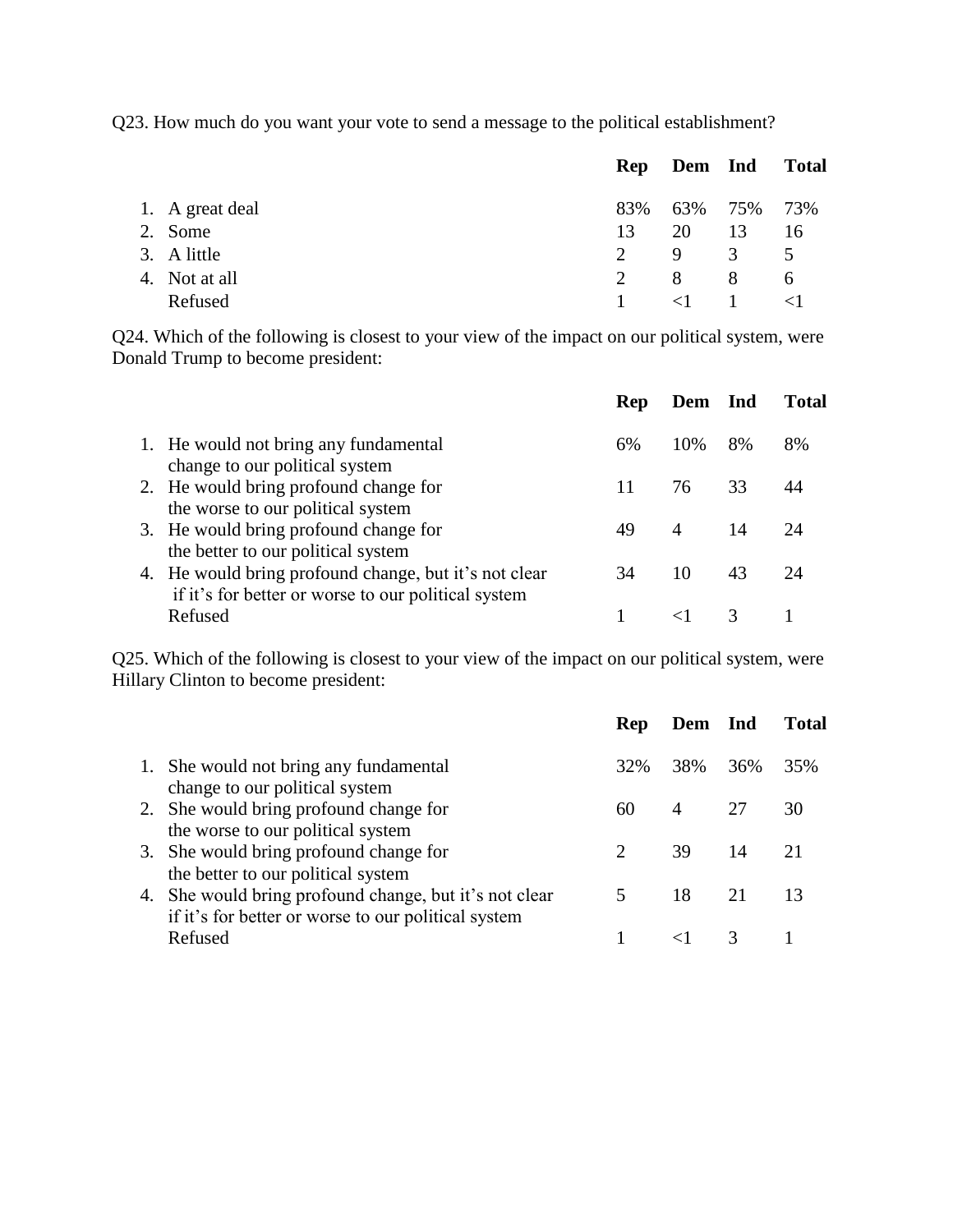Q23. How much do you want your vote to send a message to the political establishment?

|                 |               | Rep Dem Ind |               | <b>Total</b> |
|-----------------|---------------|-------------|---------------|--------------|
| 1. A great deal | 83%           |             | 63% 75%       | 73%          |
| 2. Some         | 13            | 20          | 13            | 16           |
| 3. A little     | $2^{\circ}$   | -9          | $\mathcal{R}$ | $\sim$ 5     |
| 4. Not at all   | $\mathcal{D}$ | -8          | -8            | 6            |
| Refused         |               | $\langle 1$ |               |              |

Q24. Which of the following is closest to your view of the impact on our political system, were Donald Trump to become president:

|                                                                                                              | <b>Rep</b> | Dem Ind |    | Total |
|--------------------------------------------------------------------------------------------------------------|------------|---------|----|-------|
| 1. He would not bring any fundamental<br>change to our political system                                      | 6%         | 10\%    | 8% | 8%    |
| 2. He would bring profound change for<br>the worse to our political system                                   |            | 76      | 33 |       |
| 3. He would bring profound change for<br>the better to our political system                                  | 49         | 4       | 14 | 24    |
| 4. He would bring profound change, but it's not clear<br>if it's for better or worse to our political system | 34         | 10      | 43 | 24    |
| Refused                                                                                                      |            |         |    |       |

Q25. Which of the following is closest to your view of the impact on our political system, were Hillary Clinton to become president:

|                                                                                                               | Rep | Dem Ind |     | <b>Total</b> |
|---------------------------------------------------------------------------------------------------------------|-----|---------|-----|--------------|
| 1. She would not bring any fundamental<br>change to our political system                                      | 32% | 38% 36% |     | 35%          |
| 2. She would bring profound change for<br>the worse to our political system                                   | 60  | 4       | -27 | 30           |
| 3. She would bring profound change for<br>the better to our political system                                  |     | 39      | 14  | 21           |
| 4. She would bring profound change, but it's not clear<br>if it's for better or worse to our political system |     | 18      | 21  | 13           |
| Refused                                                                                                       |     |         |     |              |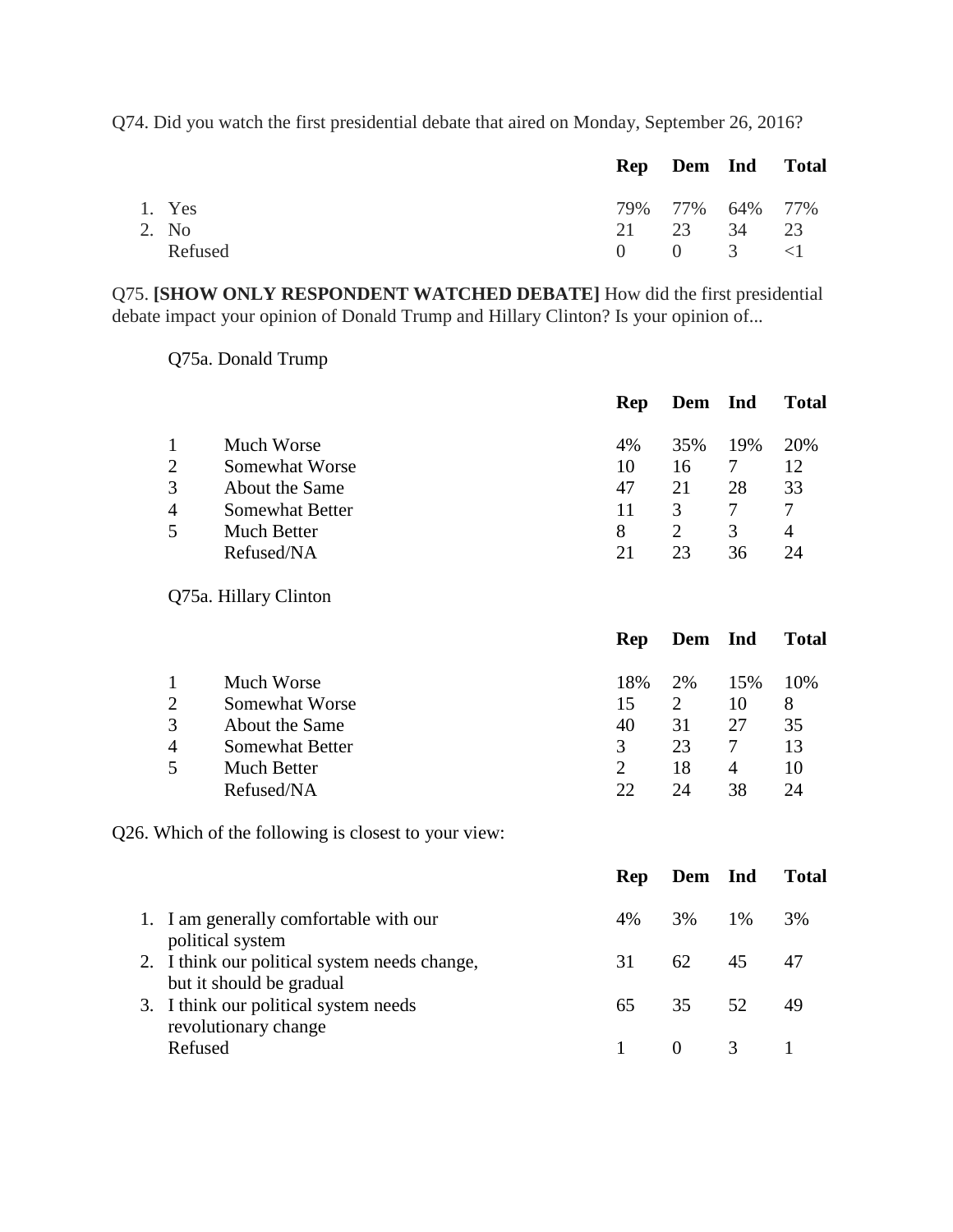Q74. Did you watch the first presidential debate that aired on Monday, September 26, 2016?

|         | Rep Dem Ind Total  |  |
|---------|--------------------|--|
| 1. Yes  | 79% 77% 64% 77%    |  |
| 2. No   | 21 23 34 23        |  |
| Refused | $0 \t 0 \t 3 \t 1$ |  |

Q75. **[SHOW ONLY RESPONDENT WATCHED DEBATE]** How did the first presidential debate impact your opinion of Donald Trump and Hillary Clinton? Is your opinion of...

Q75a. Donald Trump

|                |                        | Rep | Dem Ind |               | <b>Total</b> |
|----------------|------------------------|-----|---------|---------------|--------------|
|                | Much Worse             | 4%  | 35%     | 19%           | 20%          |
| 2              | Somewhat Worse         | 10  | 16      |               | 12           |
| 3              | About the Same         | 47  | 21      | 28            | 33           |
| $\overline{4}$ | <b>Somewhat Better</b> | 11  | 3       |               |              |
| 5              | Much Better            | 8   |         | $\mathcal{R}$ | 4            |
|                | Refused/NA             | 21  | 23      | 36            | 24           |

Q75a. Hillary Clinton

|                        | Rep |                             |     | Total   |
|------------------------|-----|-----------------------------|-----|---------|
| Much Worse             | 18% | 2%                          | 15% | 10%     |
| Somewhat Worse         | 15  | $\mathcal{D}_{\mathcal{L}}$ | 10  | 8       |
| About the Same         | 40  | 31                          | 27  | 35      |
| <b>Somewhat Better</b> | 3   | 23                          |     | 13      |
| Much Better            |     | 18                          | 4   | 10      |
| Refused/NA             | 22  | 24                          | 38  | 24      |
|                        |     |                             |     | Dem Ind |

Q26. Which of the following is closest to your view:

|                                                                           | <b>Rep</b> | Dem Ind      |         | <b>Total</b> |
|---------------------------------------------------------------------------|------------|--------------|---------|--------------|
| 1. I am generally comfortable with our<br>political system                | 4%         |              | 3\% 1\% | 3%           |
| 2. I think our political system needs change,<br>but it should be gradual | 31         | 62           | 45      |              |
| 3. I think our political system needs<br>revolutionary change             |            | 65 35 52     |         | 49           |
| Refused                                                                   |            | $0 \qquad 3$ |         |              |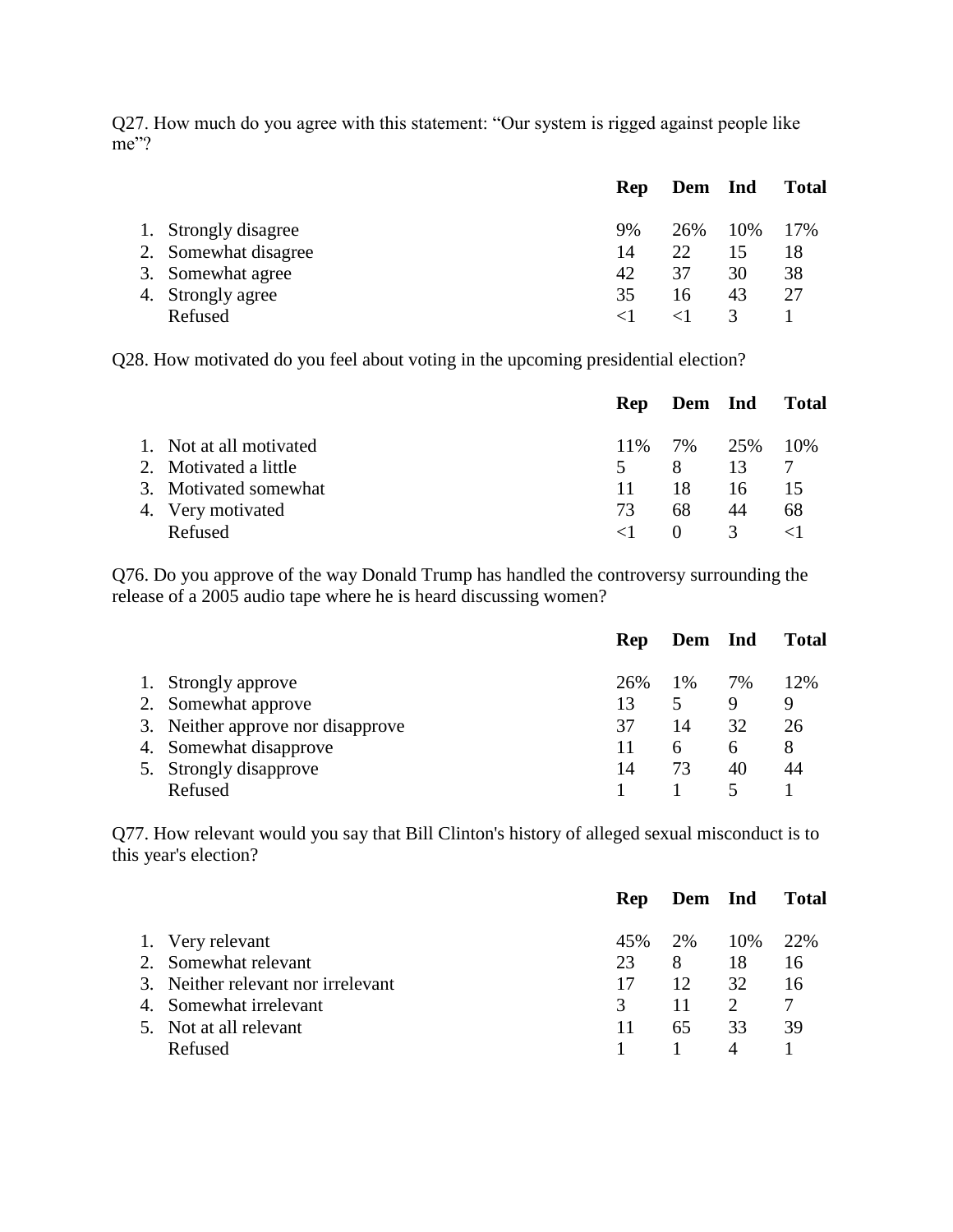Q27. How much do you agree with this statement: "Our system is rigged against people like me"?

|                      | <b>Rep</b>        | Dem Ind |     | <b>Total</b> |
|----------------------|-------------------|---------|-----|--------------|
| 1. Strongly disagree | 9%                | 26%     | 10% | 17%          |
| 2. Somewhat disagree | 14                | 22.     |     | 18           |
| 3. Somewhat agree    | 42                | 37      | 30  | 38           |
| 4. Strongly agree    | 35                | 16      | 43  | 27           |
| Refused              | $\langle \cdot  $ |         |     |              |

Q28. How motivated do you feel about voting in the upcoming presidential election?

|                         | <b>Rep</b> | <b>Dem</b> Ind |               | <b>Total</b> |
|-------------------------|------------|----------------|---------------|--------------|
| 1. Not at all motivated |            | 11% 7% 25%     |               | 10\%         |
| 2. Motivated a little   | 5.         | -8             | 13            |              |
| 3. Motivated somewhat   | 11         | 18             | 16            | 15           |
| 4. Very motivated       | 73         | 68             | 44            | 68           |
| Refused                 |            | $\theta$       | $\mathcal{R}$ |              |

Q76. Do you approve of the way Donald Trump has handled the controversy surrounding the release of a 2005 audio tape where he is heard discussing women?

|                                   | Rep | Dem Ind      |    | <b>Total</b> |
|-----------------------------------|-----|--------------|----|--------------|
| 1. Strongly approve               | 26% | 1%           | 7% | 12%          |
| 2. Somewhat approve               | 13  | 5            | 9  | 9            |
| 3. Neither approve nor disapprove | 37  | 14           | 32 | 26           |
| 4. Somewhat disapprove            |     | <sub>0</sub> | h  | 8            |
| 5. Strongly disapprove            | 14  | 73           | 40 |              |
| Refused                           |     |              |    |              |

Q77. How relevant would you say that Bill Clinton's history of alleged sexual misconduct is to this year's election?

|         | <b>Rep</b>                                                                                                                         |     |                             | Total      |
|---------|------------------------------------------------------------------------------------------------------------------------------------|-----|-----------------------------|------------|
|         | 45%                                                                                                                                | 2%  | 10%                         | <b>22%</b> |
|         | 23                                                                                                                                 | -8  | 18                          | 16         |
|         | 17                                                                                                                                 | 12  | 32                          | 16         |
|         | $\mathcal{R}$                                                                                                                      | 11  | $\mathcal{D}_{\mathcal{L}}$ |            |
|         | 11                                                                                                                                 | 65. | 33                          | 39         |
| Refused |                                                                                                                                    |     | $\overline{4}$              |            |
|         | 1. Very relevant<br>2. Somewhat relevant<br>3. Neither relevant nor irrelevant<br>4. Somewhat irrelevant<br>5. Not at all relevant |     |                             | Dem Ind    |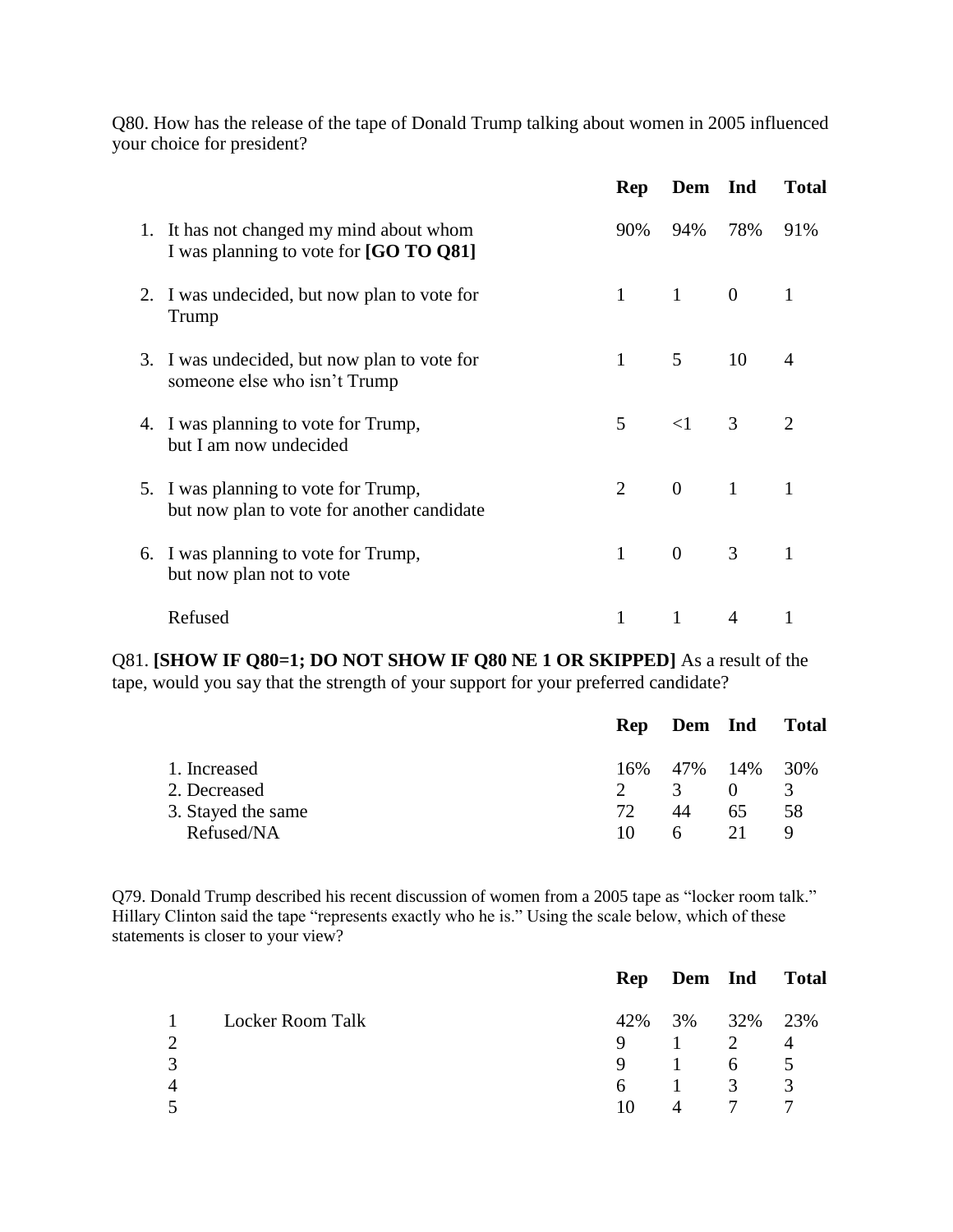Q80. How has the release of the tape of Donald Trump talking about women in 2005 influenced your choice for president?

|                                                                                    | Rep          | Dem Ind        |                | <b>Total</b>   |
|------------------------------------------------------------------------------------|--------------|----------------|----------------|----------------|
| 1. It has not changed my mind about whom<br>I was planning to vote for [GO TO Q81] | 90%          | 94%            | 78%            | 91%            |
| 2. I was undecided, but now plan to vote for<br>Trump                              | $\mathbf{1}$ | $1 \qquad 0$   |                |                |
| 3. I was undecided, but now plan to vote for<br>someone else who isn't Trump       | 1            | 5 <sup>5</sup> | 10             | $\overline{4}$ |
| 4. I was planning to vote for Trump,<br>but I am now undecided                     | 5            | $\leq$ 1       | 3 <sup>7</sup> | $\overline{2}$ |
| 5. I was planning to vote for Trump,<br>but now plan to vote for another candidate | 2            | $\overline{0}$ | 1              |                |
| 6. I was planning to vote for Trump,<br>but now plan not to vote                   | $\mathbf{1}$ | $\overline{0}$ | $\mathfrak{Z}$ | 1              |
| Refused                                                                            |              |                | $\overline{A}$ |                |

Q81. **[SHOW IF Q80=1; DO NOT SHOW IF Q80 NE 1 OR SKIPPED]** As a result of the tape, would you say that the strength of your support for your preferred candidate?

|                    | <b>Rep</b> | Dem Ind             |    | Total         |
|--------------------|------------|---------------------|----|---------------|
| 1. Increased       |            | 16\% 47\% 14\% 30\% |    |               |
| 2. Decreased       |            | $\mathcal{F}$       |    | $\mathcal{F}$ |
| 3. Stayed the same | 72         | 44                  | 65 | 58            |
| Refused/NA         | 10         | 6                   | 21 |               |
|                    |            |                     |    |               |

Q79. Donald Trump described his recent discussion of women from a 2005 tape as "locker room talk." Hillary Clinton said the tape "represents exactly who he is." Using the scale below, which of these statements is closer to your view?

|          |                  |    | Rep Dem Ind Total                      |                |                |
|----------|------------------|----|----------------------------------------|----------------|----------------|
| $\sim$ 1 | Locker Room Talk |    | 42\% 3\% 32\% 23\%                     |                |                |
|          |                  | 9  | $\begin{array}{ccc} & 1 & \end{array}$ | $\overline{2}$ | $\overline{4}$ |
|          |                  | 9  | $\sim$ 1                               | 6              | $\overline{5}$ |
|          |                  | 6  | $\sim 1$                               | 3              | $\mathcal{R}$  |
|          |                  | 10 |                                        |                |                |
|          |                  |    |                                        |                |                |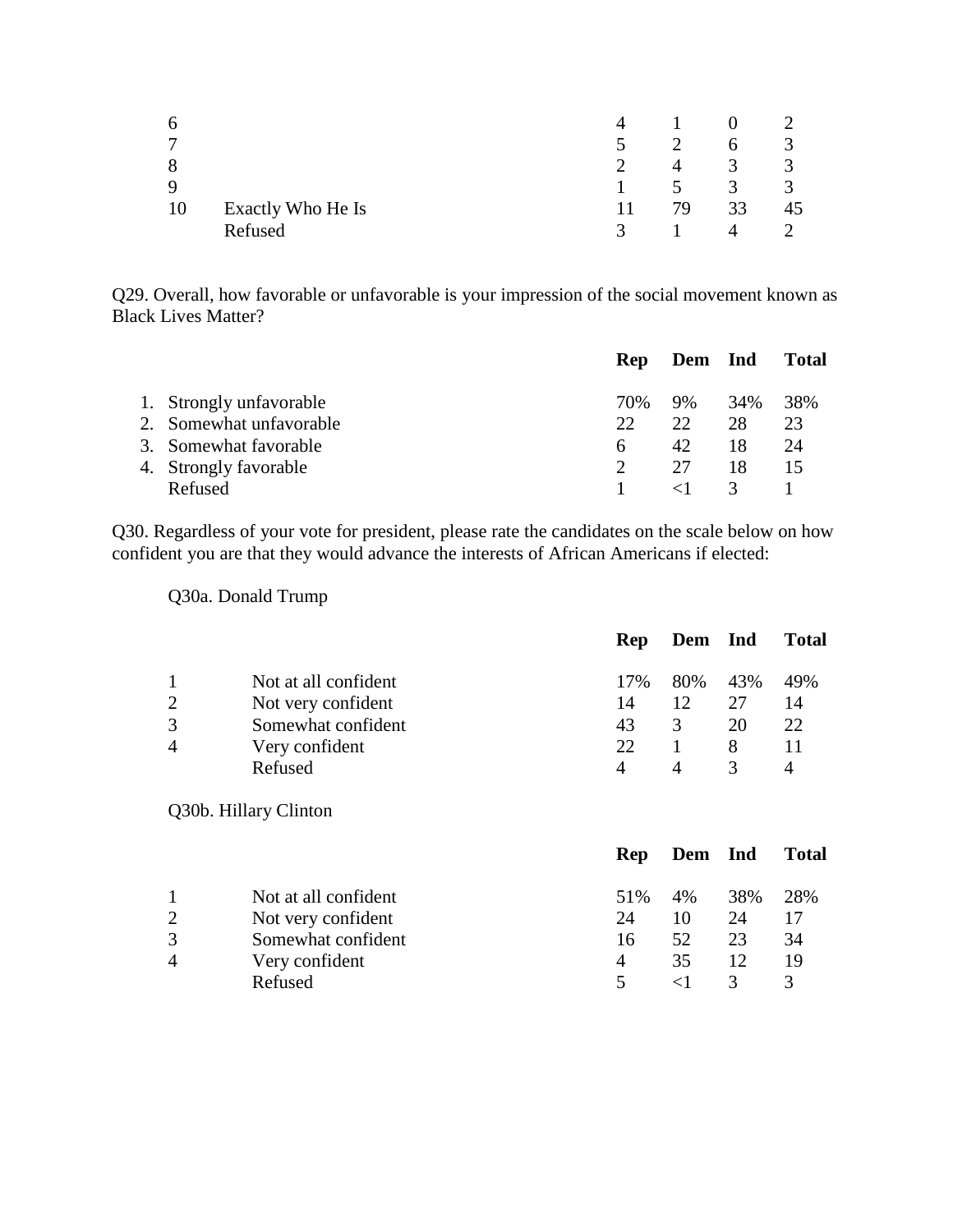| 6  |                   | 4                |    |                      |    |
|----|-------------------|------------------|----|----------------------|----|
| 7  |                   | $\blacktriangle$ |    |                      | J. |
| 8  |                   |                  | 4  |                      | 3  |
| 9  |                   |                  |    | $\blacktriangleleft$ | 3  |
| 10 | Exactly Who He Is |                  | 79 | 33                   |    |
|    | Refused           | $\mathcal{R}$    |    | 4                    |    |

Q29. Overall, how favorable or unfavorable is your impression of the social movement known as Black Lives Matter?

|                         |     | Rep Dem Ind |               | Total |
|-------------------------|-----|-------------|---------------|-------|
| 1. Strongly unfavorable | 70% | 9%          | 34%           | 38%   |
| 2. Somewhat unfavorable | 22  | 22          | 28            | 23    |
| 3. Somewhat favorable   | 6   | 42          | 18            | 24    |
| 4. Strongly favorable   |     | 27          | 18            | 15    |
| Refused                 |     |             | $\mathcal{R}$ |       |

Q30. Regardless of your vote for president, please rate the candidates on the scale below on how confident you are that they would advance the interests of African Americans if elected:

Q30a. Donald Trump

|                      | <b>Rep</b>     |     |     | <b>Total</b> |
|----------------------|----------------|-----|-----|--------------|
| Not at all confident | 17%            | 80% | 43% | 49%          |
| Not very confident   | 14             | 12  | 27  | 14           |
| Somewhat confident   | 43             | 3   | 20  | 22           |
|                      | 22.            |     | 8   |              |
| Refused              |                |     |     |              |
|                      | Very confident |     |     | Dem Ind      |

Q30b. Hillary Clinton

|                        |                      | <b>Rep</b> | Dem Ind |     | <b>Total</b> |
|------------------------|----------------------|------------|---------|-----|--------------|
|                        | Not at all confident | 51%        | 4%      | 38% | 28%          |
| 2                      | Not very confident   | 24         | 10      | 24  | 17           |
| 3                      | Somewhat confident   | 16         | 52      | 23  | 34           |
| $\boldsymbol{\Lambda}$ | Very confident       | 4          | 35      | 12  | 19           |
|                        | Refused              | $\sim$     |         | 3   |              |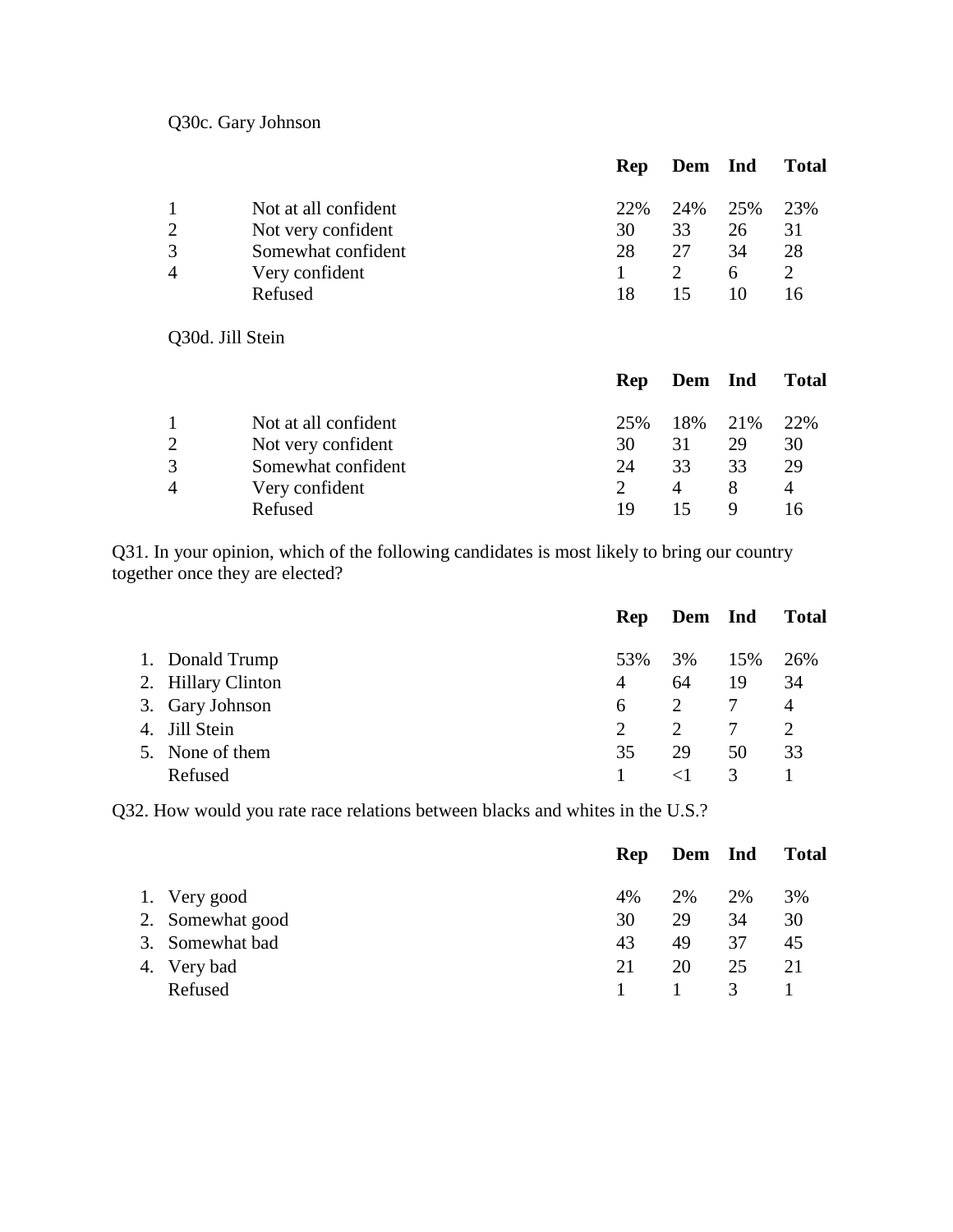Q30c. Gary Johnson

|                |                      | <b>Rep</b> | Dem Ind |     | <b>Total</b> |
|----------------|----------------------|------------|---------|-----|--------------|
|                | Not at all confident | 22\%       | 24%     | 25% | 23%          |
| 2              | Not very confident   | 30         | 33      | 26  | 31           |
| 3              | Somewhat confident   | 28         | 27      | 34  | 28           |
| $\overline{A}$ | Very confident       |            |         | 6   |              |
|                | Refused              | 18         | 15      | 10  | 16           |
|                |                      |            |         |     |              |

Q30d. Jill Stein

|                      | <b>Rep</b> |     |    | <b>Total</b>    |
|----------------------|------------|-----|----|-----------------|
| Not at all confident | 25%        | 18% |    | 22%             |
| Not very confident   | 30         | 31  | 29 | 30              |
| Somewhat confident   | 24         | 33  | 33 | 29              |
| Very confident       |            | 4   |    | 4               |
| Refused              | 19         |     |    |                 |
|                      |            |     |    | Dem Ind<br>21\% |

Q31. In your opinion, which of the following candidates is most likely to bring our country together once they are elected?

|                    | <b>Rep</b>                  | Dem Ind               |     | <b>Total</b>   |
|--------------------|-----------------------------|-----------------------|-----|----------------|
| 1. Donald Trump    | 53%                         | 3%                    | 15% | 26%            |
| 2. Hillary Clinton | $\overline{4}$              | 64                    | 19  | 34             |
| 3. Gary Johnson    | 6                           | 2                     | 7   | $\overline{4}$ |
| 4. Jill Stein      | $\mathcal{D}_{\mathcal{L}}$ | $\mathcal{D}_{\cdot}$ |     |                |
| 5. None of them    | 35                          | 29                    | 50  | 33             |
| Refused            |                             |                       | 3   |                |

Q32. How would you rate race relations between blacks and whites in the U.S.?

|         | Rep                                                                |    |               | <b>Total</b> |
|---------|--------------------------------------------------------------------|----|---------------|--------------|
|         | 4%                                                                 | 2% | 2%            | 3%           |
|         | 30                                                                 | 29 | 34            | 30           |
|         | 43                                                                 | 49 | 37            | 45           |
|         | 21                                                                 | 20 | 25            | 21           |
| Refused |                                                                    |    | $\mathcal{R}$ |              |
|         | 1. Very good<br>2. Somewhat good<br>3. Somewhat bad<br>4. Very bad |    |               | Dem Ind      |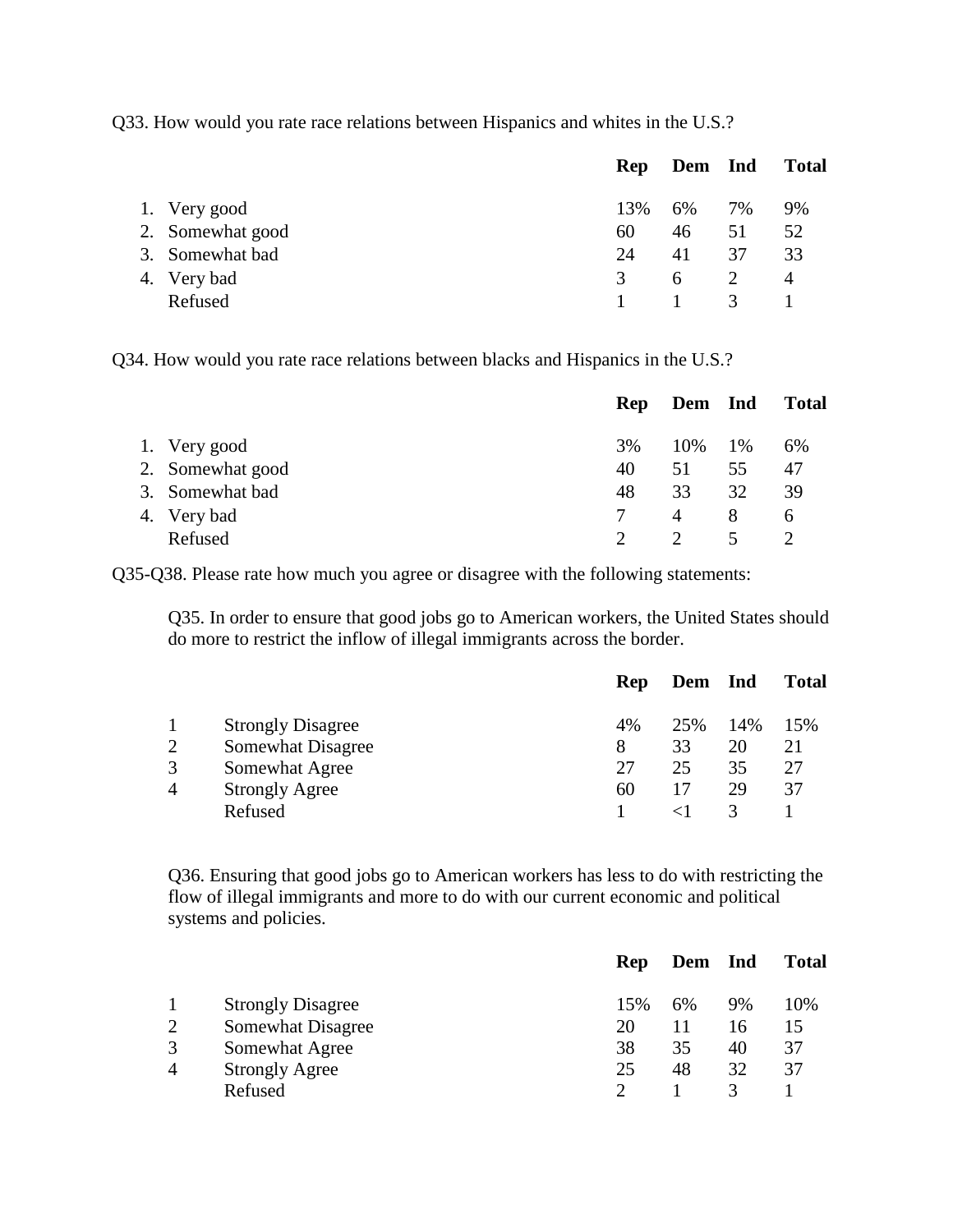Q33. How would you rate race relations between Hispanics and whites in the U.S.?

|                  | Rep | Dem Ind  |                         | <b>Total</b>   |
|------------------|-----|----------|-------------------------|----------------|
| 1. Very good     | 13% | 6%       | 7%                      | 9%             |
| 2. Somewhat good | 60  | 46       | 51                      | 52             |
| 3. Somewhat bad  | 24  | 41       | 37                      | 33             |
| 4. Very bad      | 3   | 6        |                         | $\overline{4}$ |
| Refused          |     | $\sim$ 1 | $\overline{\mathbf{3}}$ |                |
|                  |     |          |                         |                |

Q34. How would you rate race relations between blacks and Hispanics in the U.S.?

|                  | <b>Rep</b> | Dem Ind  |    | <b>Total</b> |
|------------------|------------|----------|----|--------------|
| 1. Very good     | 3%         | 10\% 1\% |    | 6%           |
| 2. Somewhat good | 40         | 51       | 55 | 47           |
| 3. Somewhat bad  | 48         | 33       | 32 | 39           |
| 4. Very bad      |            | 4        | 8  | <sub>0</sub> |
| Refused          |            |          |    |              |

Q35-Q38. Please rate how much you agree or disagree with the following statements:

Q35. In order to ensure that good jobs go to American workers, the United States should do more to restrict the inflow of illegal immigrants across the border.

|                |                          | Rep | Dem Ind |     | <b>Total</b> |
|----------------|--------------------------|-----|---------|-----|--------------|
|                | <b>Strongly Disagree</b> | 4%  | 25%     | 14% | 15%          |
| $\overline{2}$ | Somewhat Disagree        | 8   | 33      | 20  | 21           |
| 3              | Somewhat Agree           | 27  | 25      | 35  | 27           |
| $\overline{4}$ | <b>Strongly Agree</b>    | 60  | 17      | 29  | 37           |
|                | Refused                  |     |         |     |              |
|                |                          |     |         |     |              |

Q36. Ensuring that good jobs go to American workers has less to do with restricting the flow of illegal immigrants and more to do with our current economic and political systems and policies.

| Rep       | Ind | <b>Total</b> |
|-----------|-----|--------------|
| 15%<br>6% | 9%  | 10%          |
|           | 16  | 15           |
| 35        | 40  | 37           |
| 48        | 32  | 37           |
|           |     |              |
|           |     | Dem          |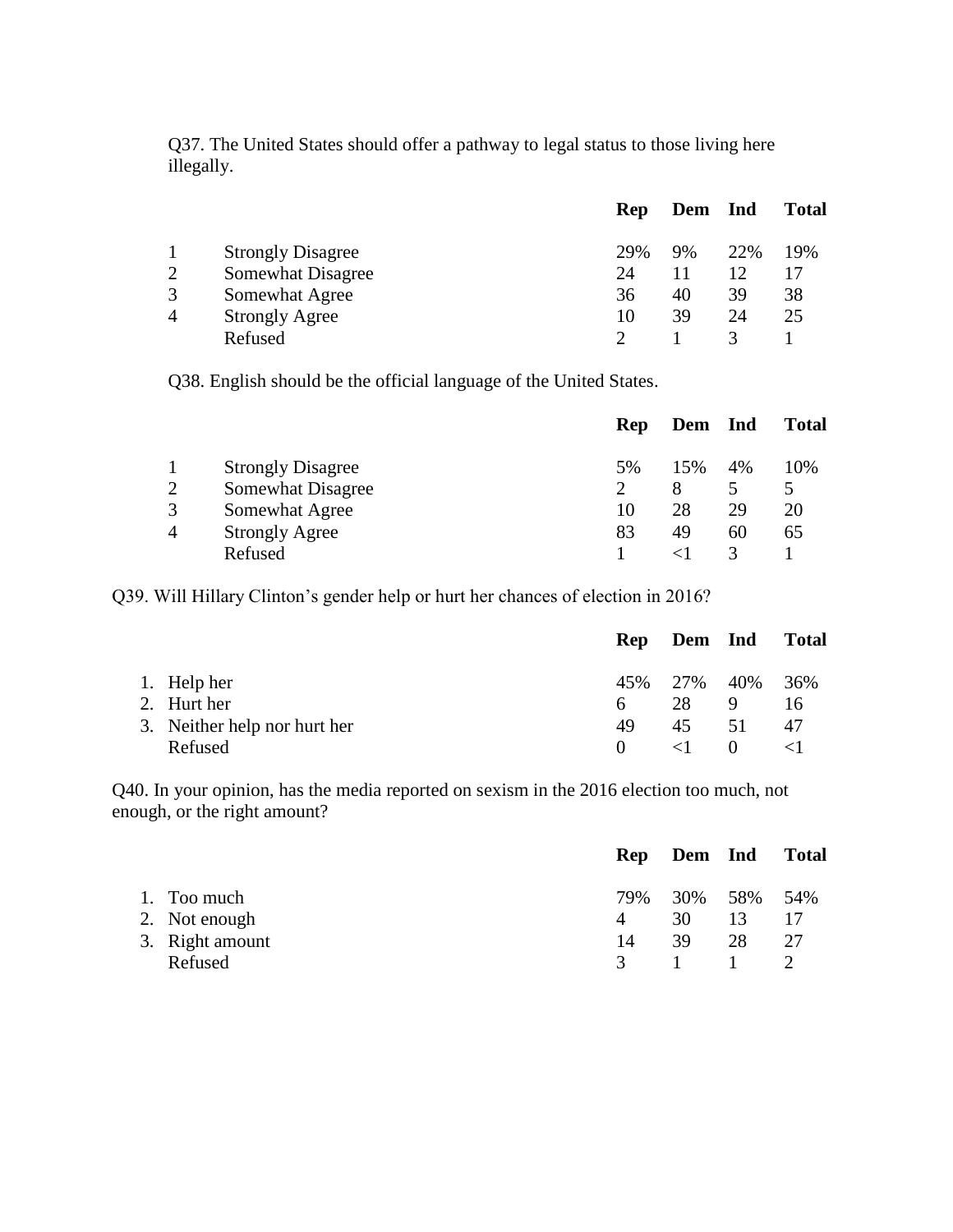Q37. The United States should offer a pathway to legal status to those living here illegally.

|                |                          | <b>Rep</b> | Dem Ind |     | <b>Total</b> |
|----------------|--------------------------|------------|---------|-----|--------------|
|                | <b>Strongly Disagree</b> | 29%        | 9%      | 22% | 19%          |
| 2              | Somewhat Disagree        | 24         |         |     |              |
| 3              | Somewhat Agree           | 36         | 40      | 39  | 38           |
| $\overline{A}$ | <b>Strongly Agree</b>    | 10         | 39      | 24  | 25           |
|                | Refused                  |            |         |     |              |

Q38. English should be the official language of the United States.

|                |                          | Rep | Dem | <b>Ind</b> | <b>Total</b> |
|----------------|--------------------------|-----|-----|------------|--------------|
|                | <b>Strongly Disagree</b> | 5%  | 15% | 4%         | 10%          |
| 2              | Somewhat Disagree        |     |     |            |              |
| 3              | Somewhat Agree           | 10  | 28  | 29         | 20           |
| $\overline{4}$ | <b>Strongly Agree</b>    | 83  | 49  | 60         | 65           |
|                | Refused                  |     |     |            |              |

Q39. Will Hillary Clinton's gender help or hurt her chances of election in 2016?

|                              |          | Rep Dem Ind         |          | <b>Total</b> |
|------------------------------|----------|---------------------|----------|--------------|
| 1. Help her                  |          | 45\% 27\% 40\% 36\% |          |              |
| 2. Hurt her                  | 6        | 28                  | 9        | 16           |
| 3. Neither help nor hurt her | 49       | 45                  | 51       | 47           |
| Refused                      | $\Omega$ | $\langle 1 \rangle$ | $\theta$ |              |

Q40. In your opinion, has the media reported on sexism in the 2016 election too much, not enough, or the right amount?

|                 |    | Rep Dem Ind Total |    |    |
|-----------------|----|-------------------|----|----|
| 1. Too much     |    | 79% 30% 58% 54%   |    |    |
| 2. Not enough   | 4  | 30 F              | 13 |    |
| 3. Right amount | 14 | 39                | 28 | 27 |
| Refused         |    | 3 1 1 2           |    |    |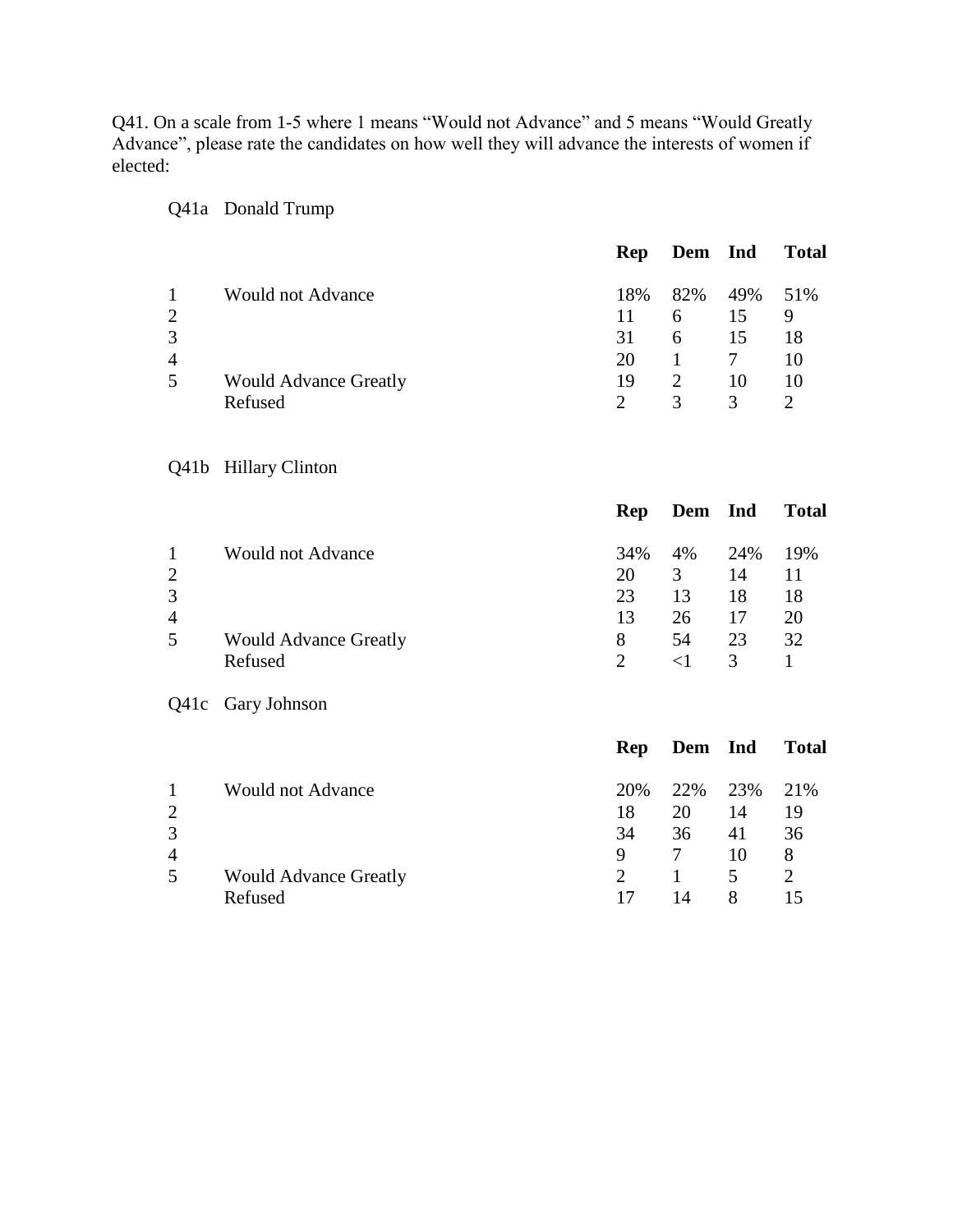Q41. On a scale from 1-5 where 1 means "Would not Advance" and 5 means "Would Greatly Advance", please rate the candidates on how well they will advance the interests of women if elected:

|                                                       |                                         | <b>Rep</b>                 | Dem                                              | Ind                   | <b>Total</b>               |
|-------------------------------------------------------|-----------------------------------------|----------------------------|--------------------------------------------------|-----------------------|----------------------------|
| $\mathbf{1}$<br>$\overline{c}$<br>3                   | <b>Would not Advance</b>                | 18%<br>11<br>31            | 82%<br>6<br>6                                    | 49%<br>15<br>15       | 51%<br>9<br>18             |
| $\overline{4}$<br>5                                   | <b>Would Advance Greatly</b><br>Refused | 20<br>19<br>$\overline{2}$ | $\mathbf{1}$<br>$\mathfrak{2}$<br>$\overline{3}$ | $\tau$<br>10<br>3     | 10<br>10<br>$\overline{2}$ |
| Q41b                                                  | <b>Hillary Clinton</b>                  |                            |                                                  |                       |                            |
|                                                       |                                         | <b>Rep</b>                 | Dem                                              | Ind                   | <b>Total</b>               |
| $\mathbf{1}$<br>$\overline{c}$<br>3<br>$\overline{4}$ | <b>Would not Advance</b>                | 34%<br>20<br>23<br>13      | 4%<br>$\overline{3}$<br>13<br>26                 | 24%<br>14<br>18<br>17 | 19%<br>11<br>18<br>20      |
| 5                                                     | <b>Would Advance Greatly</b><br>Refused | 8<br>$\overline{2}$        | 54<br>$\leq$ 1                                   | 23<br>$\overline{3}$  | 32<br>$\mathbf{1}$         |
| Q41c                                                  | Gary Johnson                            |                            |                                                  |                       |                            |
|                                                       |                                         | <b>Rep</b>                 | Dem                                              | Ind                   | <b>Total</b>               |
| $\mathbf{1}$<br>$\overline{c}$<br>3<br>$\overline{4}$ | <b>Would not Advance</b>                | 20%<br>18<br>34<br>9       | 22%<br>20<br>36<br>7                             | 23%<br>14<br>41<br>10 | 21%<br>19<br>36<br>$8\,$   |
| 5                                                     | <b>Would Advance Greatly</b><br>Refused | $\overline{2}$<br>17       | 1<br>14                                          | 5<br>8                | $\overline{2}$<br>15       |

Q41a Donald Trump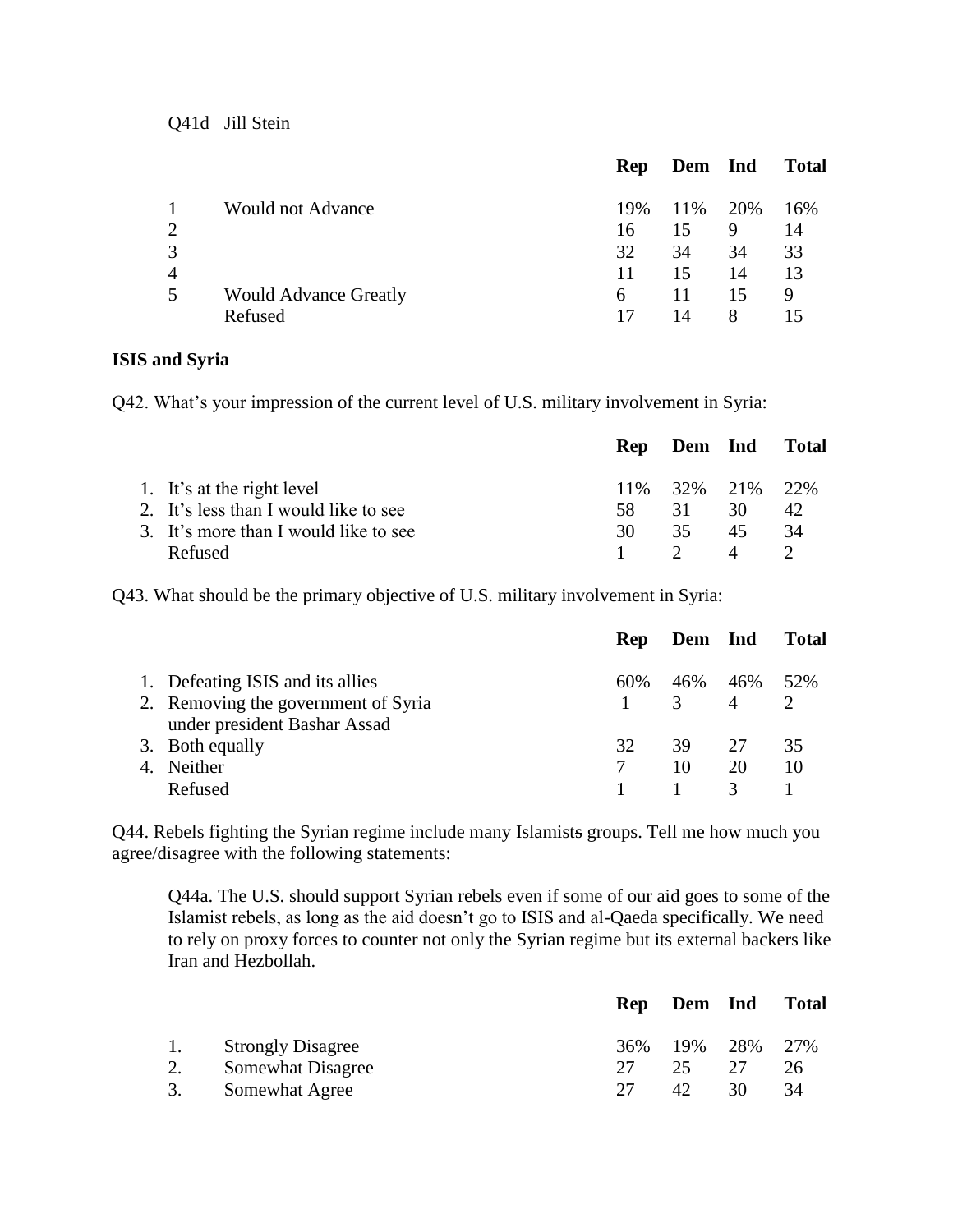Q41d Jill Stein

|                |                              | Rep | Dem Ind |    | <b>Total</b> |
|----------------|------------------------------|-----|---------|----|--------------|
|                | <b>Would not Advance</b>     | 19% | 11% 20% |    | 16%          |
| $\overline{2}$ |                              | 16  | 15      | 9  | 14           |
| 3              |                              | 32  | 34      | 34 | 33           |
| $\overline{4}$ |                              | 11  | 15      | 14 | 13           |
| 5              | <b>Would Advance Greatly</b> | 6   | 11      | 15 | 9            |
|                | Refused                      | 17  | 14      | 8  |              |
|                |                              |     |         |    |              |

#### **ISIS and Syria**

Q42. What's your impression of the current level of U.S. military involvement in Syria:

|                                       |     | Rep Dem Ind Total |    |     |
|---------------------------------------|-----|-------------------|----|-----|
| 1. It's at the right level            |     | 11% 32% 21% 22%   |    |     |
| 2. It's less than I would like to see | 58. | 31                | 30 | 42. |
| 3. It's more than I would like to see | 30. | 35                | 45 | 34  |
| Refused                               |     | $\gamma$          | 4  |     |

Q43. What should be the primary objective of U.S. military involvement in Syria:

|    |                                     | <b>Rep</b> | Dem Ind       |                | <b>Total</b> |
|----|-------------------------------------|------------|---------------|----------------|--------------|
|    | 1. Defeating ISIS and its allies    | 60%        | 46%           | 46%            | 52%          |
|    | 2. Removing the government of Syria |            | $\mathcal{R}$ | $\overline{A}$ |              |
|    | under president Bashar Assad        |            |               |                |              |
|    | 3. Both equally                     | 32         | 39            | 27             | 35           |
| 4. | <b>Neither</b>                      |            | 10            | 20             | 10           |
|    | Refused                             |            |               | $\mathcal{R}$  |              |

Q44. Rebels fighting the Syrian regime include many Islamists groups. Tell me how much you agree/disagree with the following statements:

Q44a. The U.S. should support Syrian rebels even if some of our aid goes to some of the Islamist rebels, as long as the aid doesn't go to ISIS and al-Qaeda specifically. We need to rely on proxy forces to counter not only the Syrian regime but its external backers like Iran and Hezbollah.

|    |                          |     | Rep Dem Ind |     | <b>Total</b> |
|----|--------------------------|-----|-------------|-----|--------------|
| 1. | <b>Strongly Disagree</b> | 36% | 19% 28% 27% |     |              |
|    | Somewhat Disagree        |     | 25.         | 27  | 26           |
| 3. | Somewhat Agree           |     | 42.         | 30. | 34           |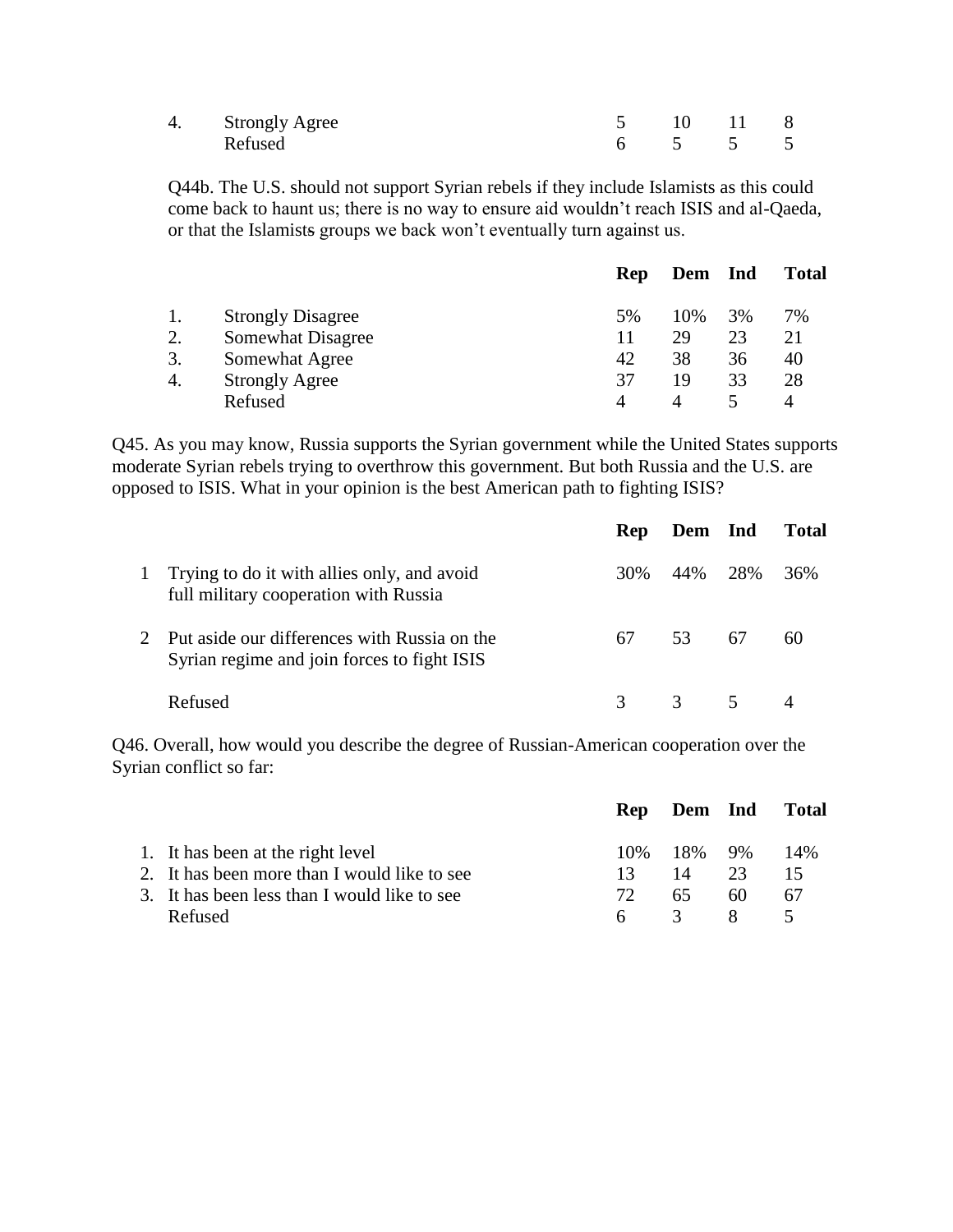| 4. Strongly Agree |  | 5 10 11 8 |  |
|-------------------|--|-----------|--|
| Refused           |  | 6 5 5 5   |  |

Q44b. The U.S. should not support Syrian rebels if they include Islamists as this could come back to haunt us; there is no way to ensure aid wouldn't reach ISIS and al-Qaeda, or that the Islamists groups we back won't eventually turn against us.

|                          | Rep                                     |     |    | <b>Total</b> |
|--------------------------|-----------------------------------------|-----|----|--------------|
| <b>Strongly Disagree</b> | 5%                                      | 10% | 3% | 7%           |
| Somewhat Disagree        | 11                                      | 29  | 23 | 21           |
|                          | 42                                      | 38  | 36 | 40           |
|                          | 37                                      | 19  | 33 | 28           |
| Refused                  |                                         | 4   |    |              |
|                          | Somewhat Agree<br><b>Strongly Agree</b> |     |    | Dem Ind      |

Q45. As you may know, Russia supports the Syrian government while the United States supports moderate Syrian rebels trying to overthrow this government. But both Russia and the U.S. are opposed to ISIS. What in your opinion is the best American path to fighting ISIS?

|                                                                                             | <b>Rep</b> | Dem Ind        |    | <b>Total</b> |
|---------------------------------------------------------------------------------------------|------------|----------------|----|--------------|
| Trying to do it with allies only, and avoid<br>full military cooperation with Russia        | 30%        | 44% 28%        |    | 36%          |
| Put aside our differences with Russia on the<br>Syrian regime and join forces to fight ISIS | 67         | 53             | 67 | 60           |
| Refused                                                                                     |            | $\overline{3}$ | 5  |              |

Q46. Overall, how would you describe the degree of Russian-American cooperation over the Syrian conflict so far:

|                                              |     |               |    | Rep Dem Ind Total |
|----------------------------------------------|-----|---------------|----|-------------------|
| 1. It has been at the right level            |     | 10\% 18\% 9\% |    | 14%               |
| 2. It has been more than I would like to see | 13. | 14            | 23 | 15                |
| 3. It has been less than I would like to see | 72. | 65.           | 60 | 67                |
| Refused                                      | 6.  | $\mathcal{R}$ |    |                   |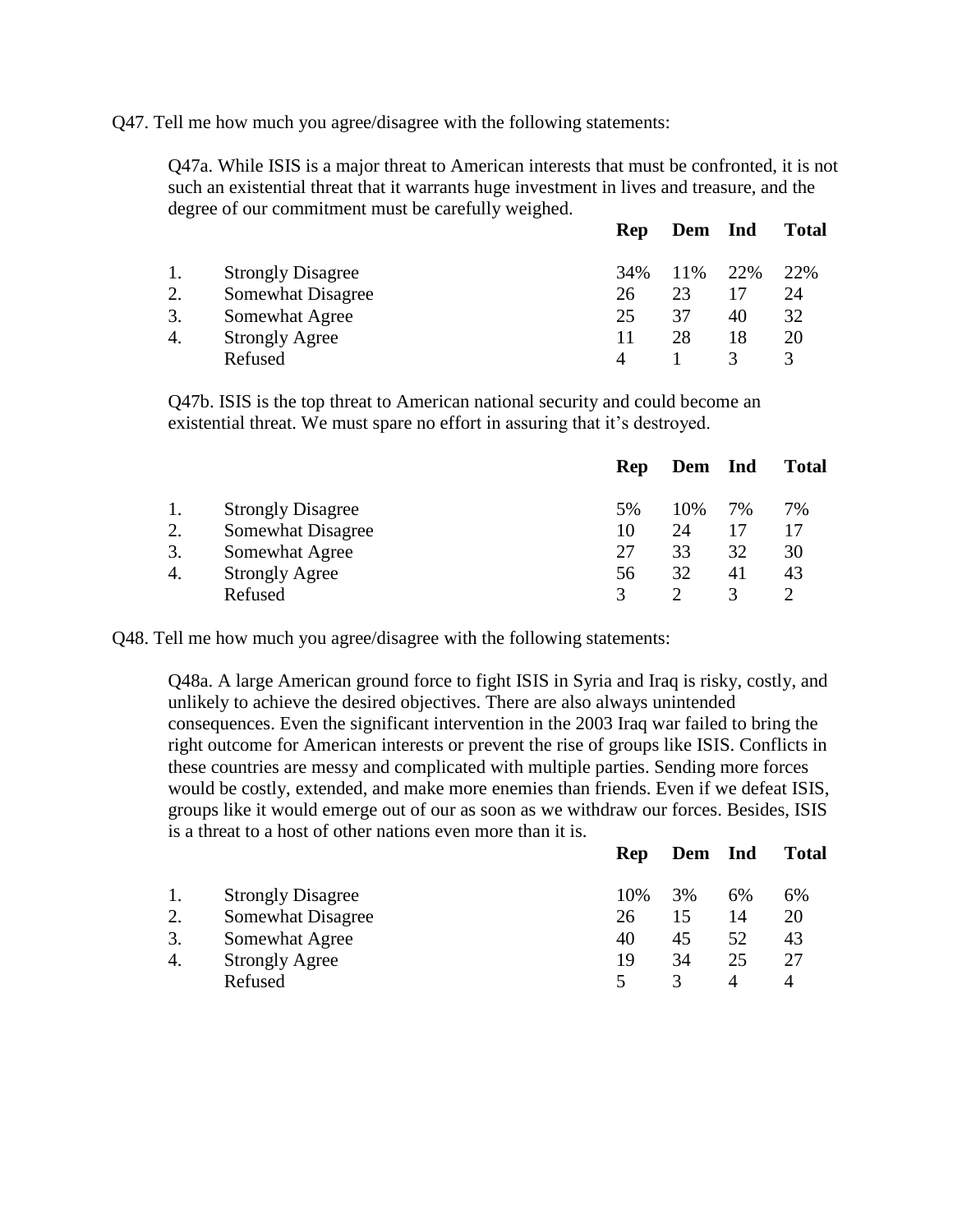Q47. Tell me how much you agree/disagree with the following statements:

Q47a. While ISIS is a major threat to American interests that must be confronted, it is not such an existential threat that it warrants huge investment in lives and treasure, and the degree of our commitment must be carefully weighed.

|    |                          | Rep | Dem Ind |     | <b>Total</b> |
|----|--------------------------|-----|---------|-----|--------------|
| 1. | <b>Strongly Disagree</b> | 34% | 11%     | 22% | 22%          |
| 2. | Somewhat Disagree        | 26  | 23      |     | 24           |
| 3. | Somewhat Agree           | 25  | 37      | 40  | 32           |
| 4. | <b>Strongly Agree</b>    |     | 28      | 18  | 20           |
|    | Refused                  |     |         |     |              |
|    |                          |     |         |     |              |

Q47b. ISIS is the top threat to American national security and could become an existential threat. We must spare no effort in assuring that it's destroyed.

|    |                          | <b>Rep</b> | Dem Ind |    | <b>Total</b> |
|----|--------------------------|------------|---------|----|--------------|
|    | <b>Strongly Disagree</b> | .5%        | 10%     | 7% | 7%           |
| 2. | Somewhat Disagree        | 10         | 24      |    |              |
| 3. | Somewhat Agree           | 27         | 33      | 32 | 30           |
| 4. | <b>Strongly Agree</b>    | 56         | 32      | 41 | 43           |
|    | Refused                  |            |         |    |              |

Q48. Tell me how much you agree/disagree with the following statements:

Q48a. A large American ground force to fight ISIS in Syria and Iraq is risky, costly, and unlikely to achieve the desired objectives. There are also always unintended consequences. Even the significant intervention in the 2003 Iraq war failed to bring the right outcome for American interests or prevent the rise of groups like ISIS. Conflicts in these countries are messy and complicated with multiple parties. Sending more forces would be costly, extended, and make more enemies than friends. Even if we defeat ISIS, groups like it would emerge out of our as soon as we withdraw our forces. Besides, ISIS is a threat to a host of other nations even more than it is.

|    |                          | Rep | Dem Ind |    | <b>Total</b> |
|----|--------------------------|-----|---------|----|--------------|
|    | <b>Strongly Disagree</b> | 10% | 3%      | 6% | 6%           |
| 2. | Somewhat Disagree        | 26  | 15      | 14 | 20           |
| 3. | Somewhat Agree           | 40  | 45      | 52 | 43           |
| 4. | <b>Strongly Agree</b>    | 19  | 34      | 25 | 27           |
|    | Refused                  |     | 3       | 4  |              |
|    |                          |     |         |    |              |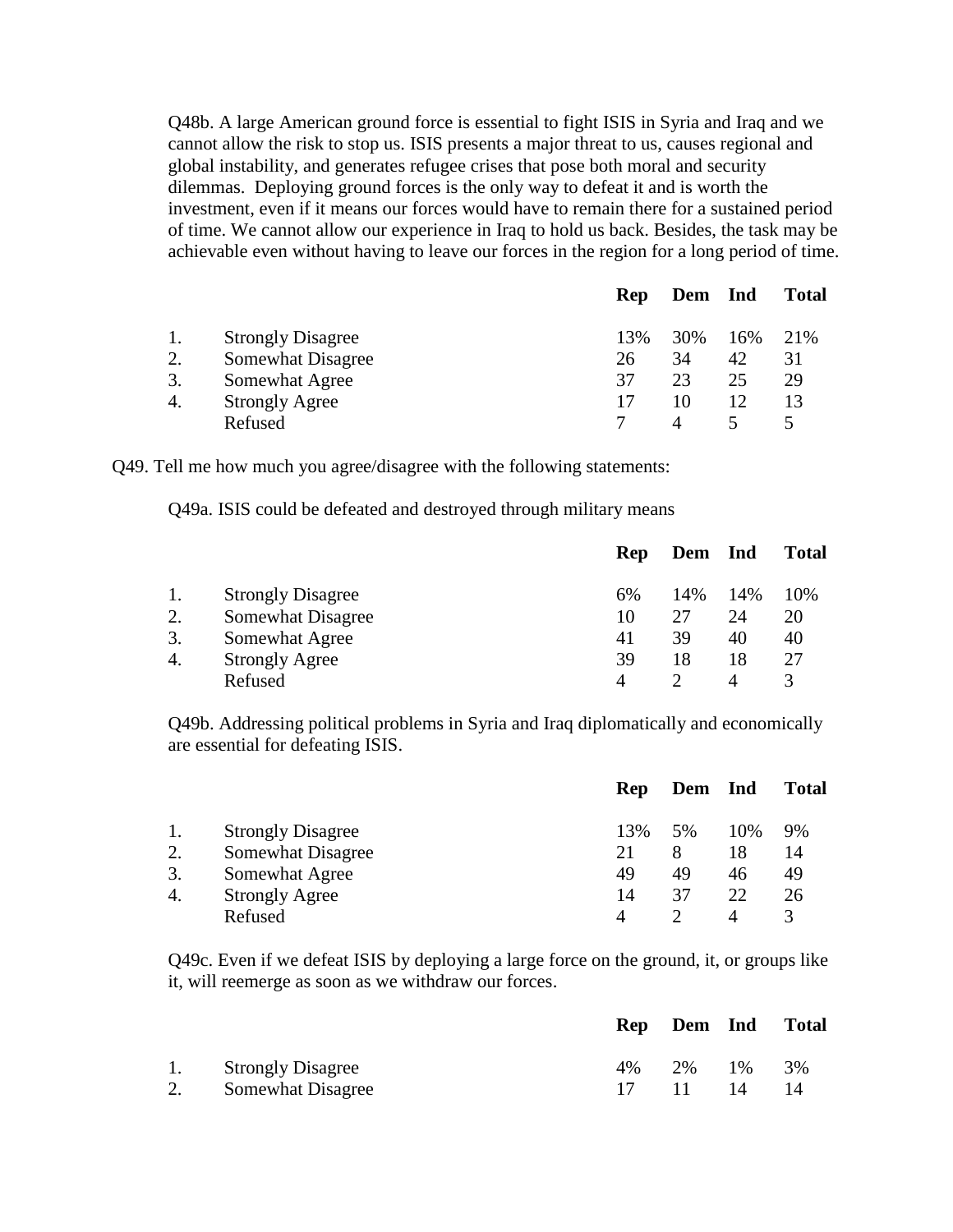Q48b. A large American ground force is essential to fight ISIS in Syria and Iraq and we cannot allow the risk to stop us. ISIS presents a major threat to us, causes regional and global instability, and generates refugee crises that pose both moral and security dilemmas. Deploying ground forces is the only way to defeat it and is worth the investment, even if it means our forces would have to remain there for a sustained period of time. We cannot allow our experience in Iraq to hold us back. Besides, the task may be achievable even without having to leave our forces in the region for a long period of time.

|    |                          | Rep | Dem Ind |     | <b>Total</b> |
|----|--------------------------|-----|---------|-----|--------------|
| 1. | <b>Strongly Disagree</b> | 13% | 30%     | 16% | 21\%         |
| 2. | Somewhat Disagree        | 26  | 34      | 42  | 31           |
| 3. | Somewhat Agree           | 37  | 23      | 25  | 29           |
| 4. | <b>Strongly Agree</b>    |     | 10      | 12  |              |
|    | Refused                  |     |         |     |              |

Q49. Tell me how much you agree/disagree with the following statements:

Q49a. ISIS could be defeated and destroyed through military means

|    |                          | Rep | Dem Ind |     | <b>Total</b> |
|----|--------------------------|-----|---------|-----|--------------|
| 1. | <b>Strongly Disagree</b> | 6%  | 14%     | 14% | 10%          |
| 2. | Somewhat Disagree        | 10  | 27      | 24  | 20           |
| 3. | Somewhat Agree           | 41  | 39      | 40  | 40           |
| 4. | <b>Strongly Agree</b>    | 39  | 18      | 18  | 27           |
|    | Refused                  |     |         | 4   |              |

Q49b. Addressing political problems in Syria and Iraq diplomatically and economically are essential for defeating ISIS.

|    |                          | Rep | Dem Ind |     | <b>Total</b> |
|----|--------------------------|-----|---------|-----|--------------|
| 1. | <b>Strongly Disagree</b> | 13% | 5%      | 10% | 9%           |
| 2. | Somewhat Disagree        | 21  | 8       | 18  | 14           |
| 3. | Somewhat Agree           | 49  | 49      | 46  | 49           |
| 4. | <b>Strongly Agree</b>    | 14  | 37      | 22. | 26           |
|    | Refused                  |     |         |     |              |

Q49c. Even if we defeat ISIS by deploying a large force on the ground, it, or groups like it, will reemerge as soon as we withdraw our forces.

|                      |    |             | Rep Dem Ind Total |
|----------------------|----|-------------|-------------------|
| 1. Strongly Disagree | 4% | 2\% 1\%     | 3%                |
| 2. Somewhat Disagree |    | 17 11 14 14 |                   |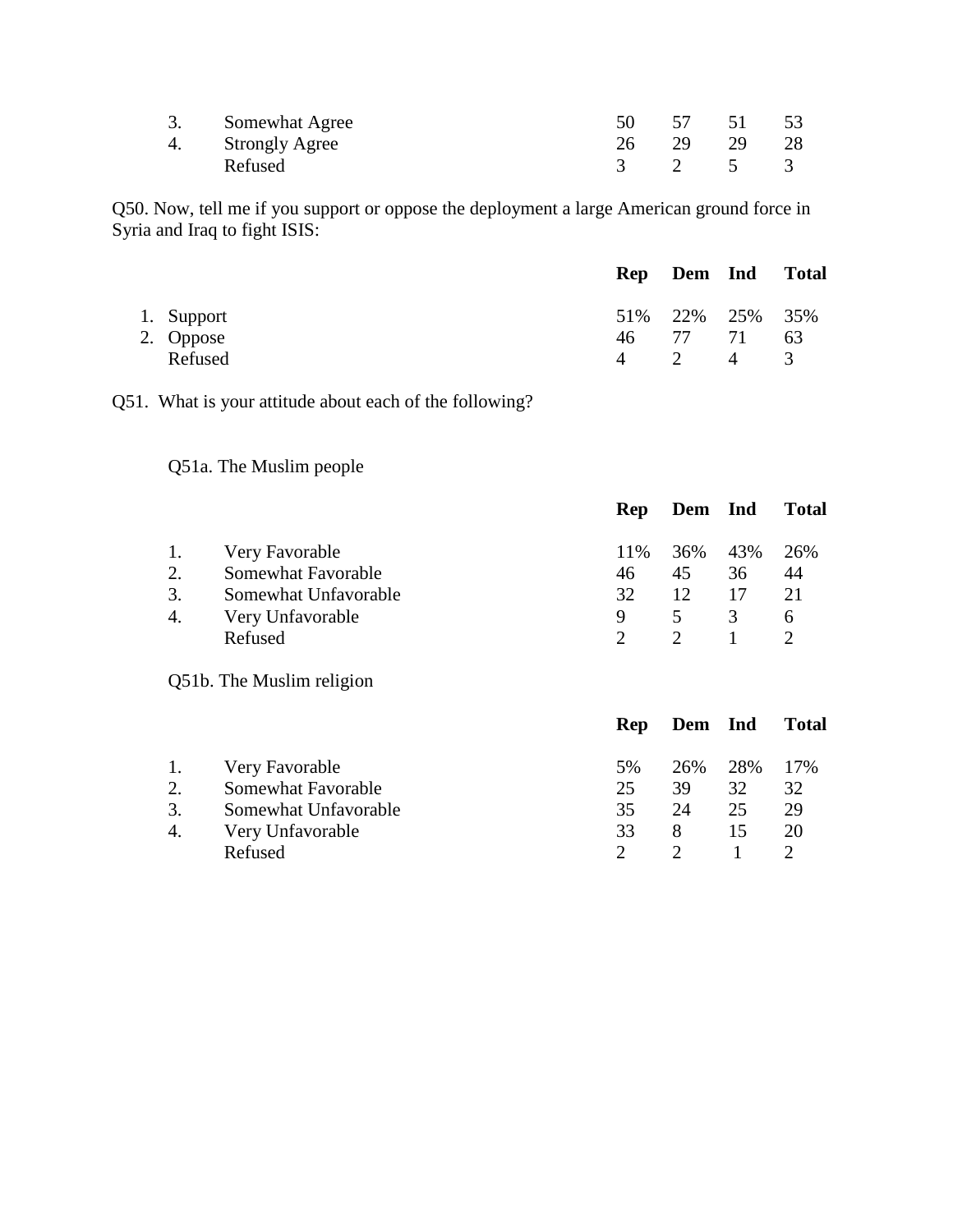| 3. Somewhat Agree |  | 57 51 53 |  |
|-------------------|--|----------|--|
| 4. Strongly Agree |  | 29 29 28 |  |
| Refused           |  | 3 2 5 3  |  |

Q50. Now, tell me if you support or oppose the deployment a large American ground force in Syria and Iraq to fight ISIS:

|                         |                | Rep Dem Ind Total            |               |
|-------------------------|----------------|------------------------------|---------------|
| 1. Support<br>2. Oppose | 46 —           | 51\% 22\% 25\% 35\%<br>77 71 | -63           |
| Refused                 | $\overline{4}$ | 2 4                          | $\mathcal{R}$ |

Q51. What is your attitude about each of the following?

### Q51a. The Muslim people

|                |                                                                                             | <b>Rep</b>           | Dem Ind              |                      | <b>Total</b>         |
|----------------|---------------------------------------------------------------------------------------------|----------------------|----------------------|----------------------|----------------------|
| 2.<br>3.<br>4. | Very Favorable<br>Somewhat Favorable<br>Somewhat Unfavorable<br>Very Unfavorable<br>Refused | 11%<br>46<br>32<br>9 | 36%<br>45<br>12<br>5 | 43%<br>36<br>17<br>3 | 26%<br>44<br>21<br>6 |
|                |                                                                                             |                      |                      |                      |                      |

Q51b. The Muslim religion

|    |                      | <b>Rep</b> | Dem Ind |     | <b>Total</b> |
|----|----------------------|------------|---------|-----|--------------|
| 1. | Very Favorable       | 5%         | 26%     | 28% | 17%          |
| 2. | Somewhat Favorable   | 25         | 39      | 32  | 32           |
| 3. | Somewhat Unfavorable | 35         | 24      | 25  | 29           |
| 4. | Very Unfavorable     | 33         | 8       | 15  | 20           |
|    | Refused              |            |         |     |              |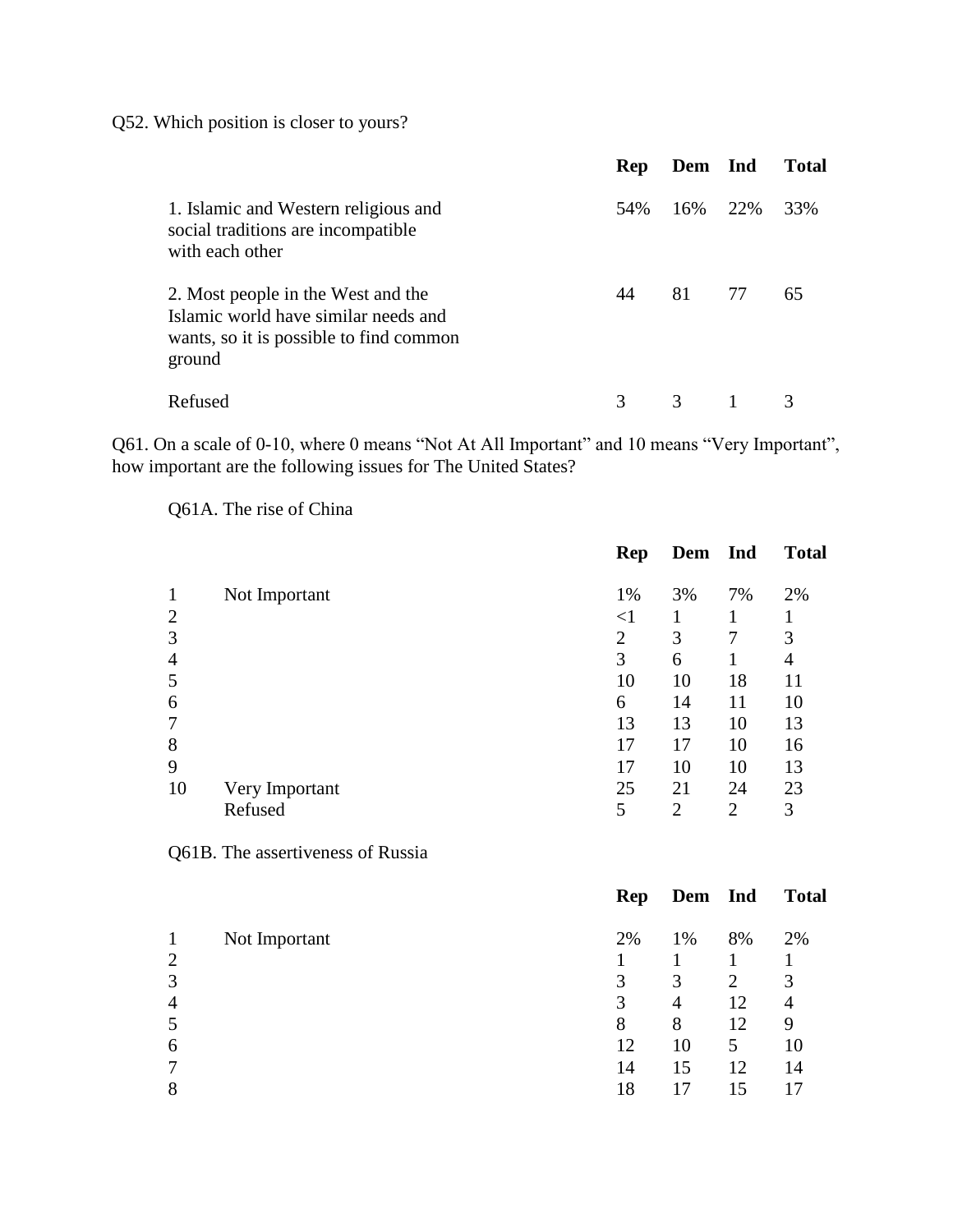Q52. Which position is closer to yours?

|                                                                                                                                 | Rep | Dem Ind |     | <b>Total</b> |
|---------------------------------------------------------------------------------------------------------------------------------|-----|---------|-----|--------------|
| 1. Islamic and Western religious and<br>social traditions are incompatible<br>with each other                                   | 54% | 16%     | 22% | 33%          |
| 2. Most people in the West and the<br>Islamic world have similar needs and<br>wants, so it is possible to find common<br>ground | 44  | 81      | 77  | 65           |
| Refused                                                                                                                         | 3   | 3       |     |              |

Q61. On a scale of 0-10, where 0 means "Not At All Important" and 10 means "Very Important", how important are the following issues for The United States?

Q61A. The rise of China

|                |                | Rep            | Dem Ind        |                | <b>Total</b> |
|----------------|----------------|----------------|----------------|----------------|--------------|
|                | Not Important  | 1%             | 3%             | 7%             | 2%           |
| $\overline{2}$ |                | ${<}1$         |                |                |              |
| 3              |                | $\overline{2}$ | 3              | 7              | 3            |
| 4              |                | 3              | 6              |                | 4            |
| 5              |                | 10             | 10             | 18             | 11           |
| 6              |                | 6              | 14             | 11             | 10           |
|                |                | 13             | 13             | 10             | 13           |
| 8              |                | 17             | 17             | 10             | 16           |
| 9              |                | 17             | 10             | 10             | 13           |
| 10             | Very Important | 25             | 21             | 24             | 23           |
|                | Refused        | 5              | $\overline{2}$ | $\overline{2}$ | 3            |

Q61B. The assertiveness of Russia

|                |               | <b>Rep</b> | Dem Ind |    | <b>Total</b> |
|----------------|---------------|------------|---------|----|--------------|
| 1              | Not Important | 2%         | 1%      | 8% | 2%           |
| $\overline{2}$ |               |            |         |    |              |
| 3              |               | 3          | 3       | 2  | 3            |
| $\overline{4}$ |               | 3          | 4       | 12 | 4            |
| 5              |               | 8          | 8       | 12 | 9            |
| 6              |               | 12         | 10      | 5  | 10           |
| 7              |               | 14         | 15      | 12 | 14           |
| 8              |               | 18         | 17      | 15 | 17           |
|                |               |            |         |    |              |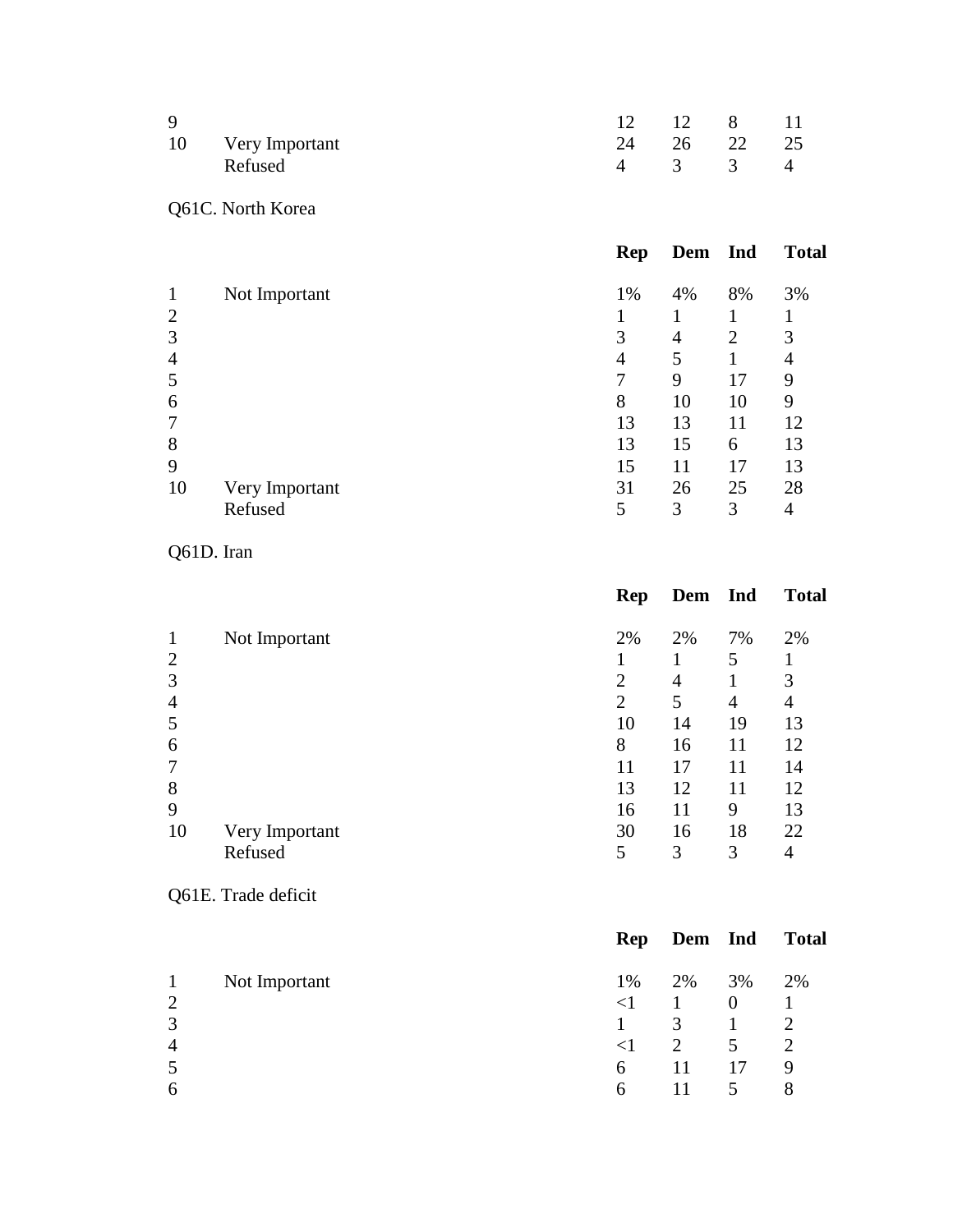| Q |                   |  | 12 12 8 11  |  |
|---|-------------------|--|-------------|--|
|   | 10 Very Important |  | 24 26 22 25 |  |
|   | Refused           |  | 4 3 3 4     |  |

# Q61C. North Korea

|                |                | Rep | Dem Ind |                | <b>Total</b> |
|----------------|----------------|-----|---------|----------------|--------------|
| $\mathbf{1}$   | Not Important  | 1%  | 4%      | 8%             | 3%           |
| $\overline{2}$ |                |     |         |                |              |
| 3              |                | 3   | 4       | $\overline{2}$ | 3            |
| $\overline{4}$ |                | 4   | 5       |                | 4            |
| 5              |                | 7   | 9       | 17             | 9            |
| 6              |                | 8   | 10      | 10             | 9            |
| $\overline{7}$ |                | 13  | 13      | 11             | 12           |
| 8              |                | 13  | 15      | 6              | 13           |
| 9              |                | 15  | 11      | 17             | 13           |
| 10             | Very Important | 31  | 26      | 25             | 28           |
|                | Refused        | 5   | 3       | 3              | 4            |

Q61D. Iran

|                |                | Rep | Dem Ind |    | <b>Total</b> |
|----------------|----------------|-----|---------|----|--------------|
| $\mathbf{1}$   | Not Important  | 2%  | 2%      | 7% | 2%           |
| $\overline{2}$ |                |     |         | 5  |              |
| 3              |                | 2   | 4       |    | 3            |
| $\overline{4}$ |                | 2   | 5       | 4  | 4            |
| 5              |                | 10  | 14      | 19 | 13           |
| 6              |                | 8   | 16      | 11 | 12           |
| $\overline{7}$ |                | 11  | 17      | 11 | 14           |
| 8              |                | 13  | 12      | 11 | 12           |
| 9              |                | 16  | 11      | 9  | 13           |
| 10             | Very Important | 30  | 16      | 18 | 22           |
|                | Refused        | 5   | 3       | 3  | 4            |

# Q61E. Trade deficit

|                |               |          | Rep Dem Ind  |          | <b>Total</b>  |
|----------------|---------------|----------|--------------|----------|---------------|
| $\mathbf{1}$   | Not Important | 1%       | 2%           | 3%       | 2%            |
| $\overline{2}$ |               | $\leq$ 1 | -1           | $\theta$ |               |
| 3              |               |          | $\mathbf{3}$ | 1        | 2             |
| $\overline{4}$ |               | $\leq$ 1 | 2            | 5        | $\mathcal{L}$ |
| 5              |               | 6        |              | 17       | 9             |
| 6              |               | 6        |              | 5        | 8             |
|                |               |          |              |          |               |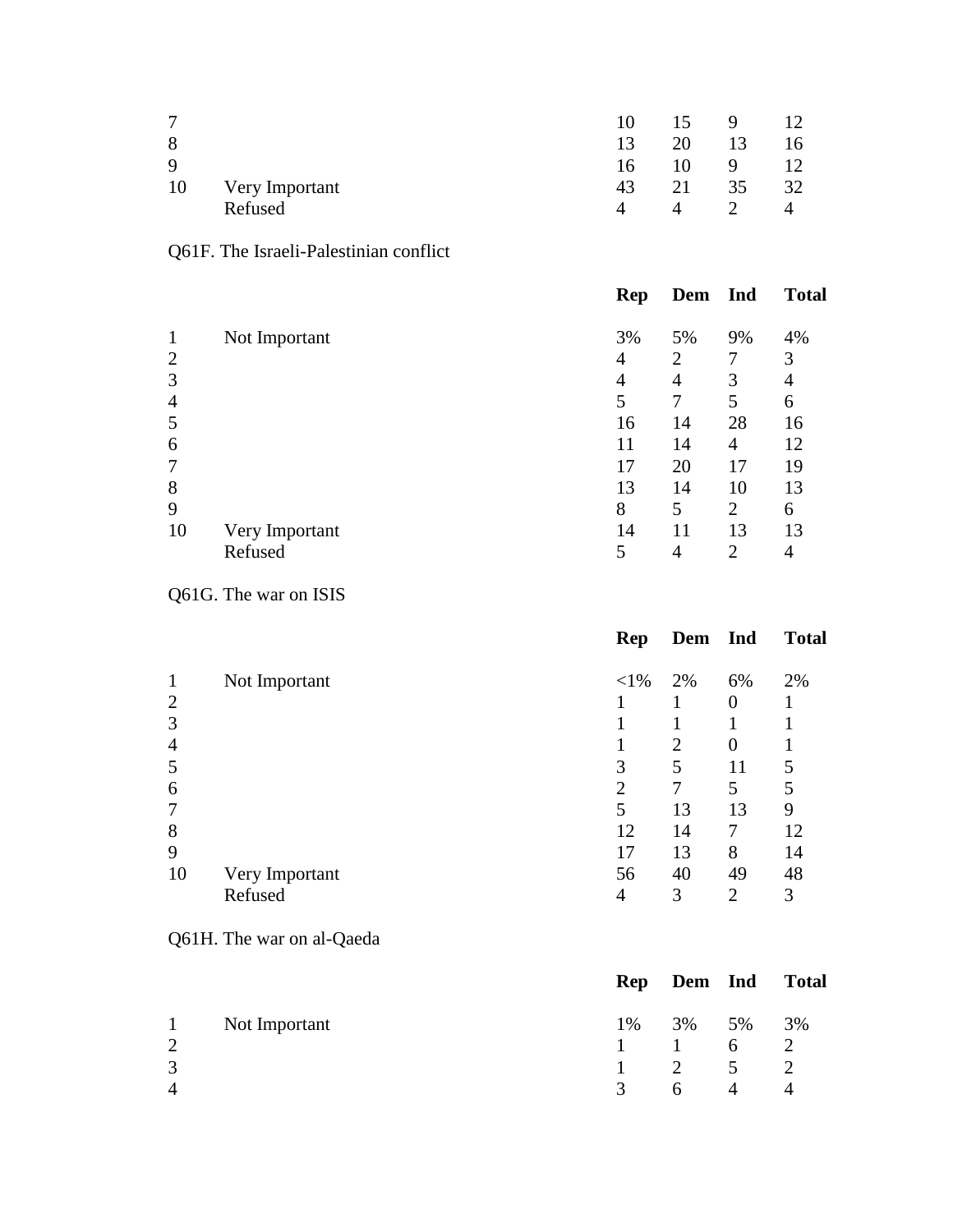| 7           |                | 10.      | 15 | - 9           | 12  |
|-------------|----------------|----------|----|---------------|-----|
| 8           |                | 13       | 20 | 13            | 16  |
| $\mathbf Q$ |                | 16       | 10 | 9             | 12  |
| 10          | Very Important | 43       | 21 | 35            | -32 |
|             | Refused        | $\Delta$ |    | $\mathcal{D}$ |     |

# Q61F. The Israeli-Palestinian conflict

|                |                | Rep | Dem Ind        |                | <b>Total</b> |
|----------------|----------------|-----|----------------|----------------|--------------|
| $\mathbf{1}$   | Not Important  | 3%  | 5%             | 9%             | 4%           |
| $\overline{2}$ |                | 4   | 2              | 7              | 3            |
| 3              |                | 4   | $\overline{4}$ | 3              | 4            |
| $\overline{4}$ |                | 5   | 7              | 5              | 6            |
| 5              |                | 16  | 14             | 28             | 16           |
| 6              |                | 11  | 14             | 4              | 12           |
| 7              |                | 17  | 20             | 17             | 19           |
| 8              |                | 13  | 14             | 10             | 13           |
| 9              |                | 8   | 5              | $\overline{2}$ | 6            |
| 10             | Very Important | 14  | 11             | 13             | 13           |
|                | Refused        | 5   | $\overline{4}$ | 2              | 4            |

Q61G. The war on ISIS

|                |                | Rep            | Dem Ind        |                | <b>Total</b> |
|----------------|----------------|----------------|----------------|----------------|--------------|
| $\mathbf{1}$   | Not Important  | $<$ 1%         | 2%             | 6%             | 2%           |
| $\overline{2}$ |                |                |                | $\overline{0}$ |              |
| 3              |                |                |                |                |              |
| $\overline{4}$ |                |                | $\overline{2}$ | $\overline{0}$ |              |
| 5              |                | 3              | 5              | 11             | 5            |
| 6              |                | $\overline{2}$ | 7              | 5              | 5            |
| 7              |                | 5              | 13             | 13             | 9            |
| 8              |                | 12             | 14             |                | 12           |
| 9              |                | 17             | 13             | 8              | 14           |
| 10             | Very Important | 56             | 40             | 49             | 48           |
|                | Refused        | 4              | 3              | $\overline{2}$ | 3            |

Q61H. The war on al-Qaeda

|                   |               |               |                             |                | Rep Dem Ind Total |
|-------------------|---------------|---------------|-----------------------------|----------------|-------------------|
| $\mathbf{1}$<br>2 | Not Important | $\mathbf{1}$  | 1% 3% 5% 3%<br>$\mathbf{1}$ | 6              | $\overline{2}$    |
| 3                 |               | $\mathbf{1}$  | $\overline{2}$              | 5 <sup>7</sup> | $\overline{2}$    |
| 4                 |               | $\mathcal{R}$ | 6                           | 4              |                   |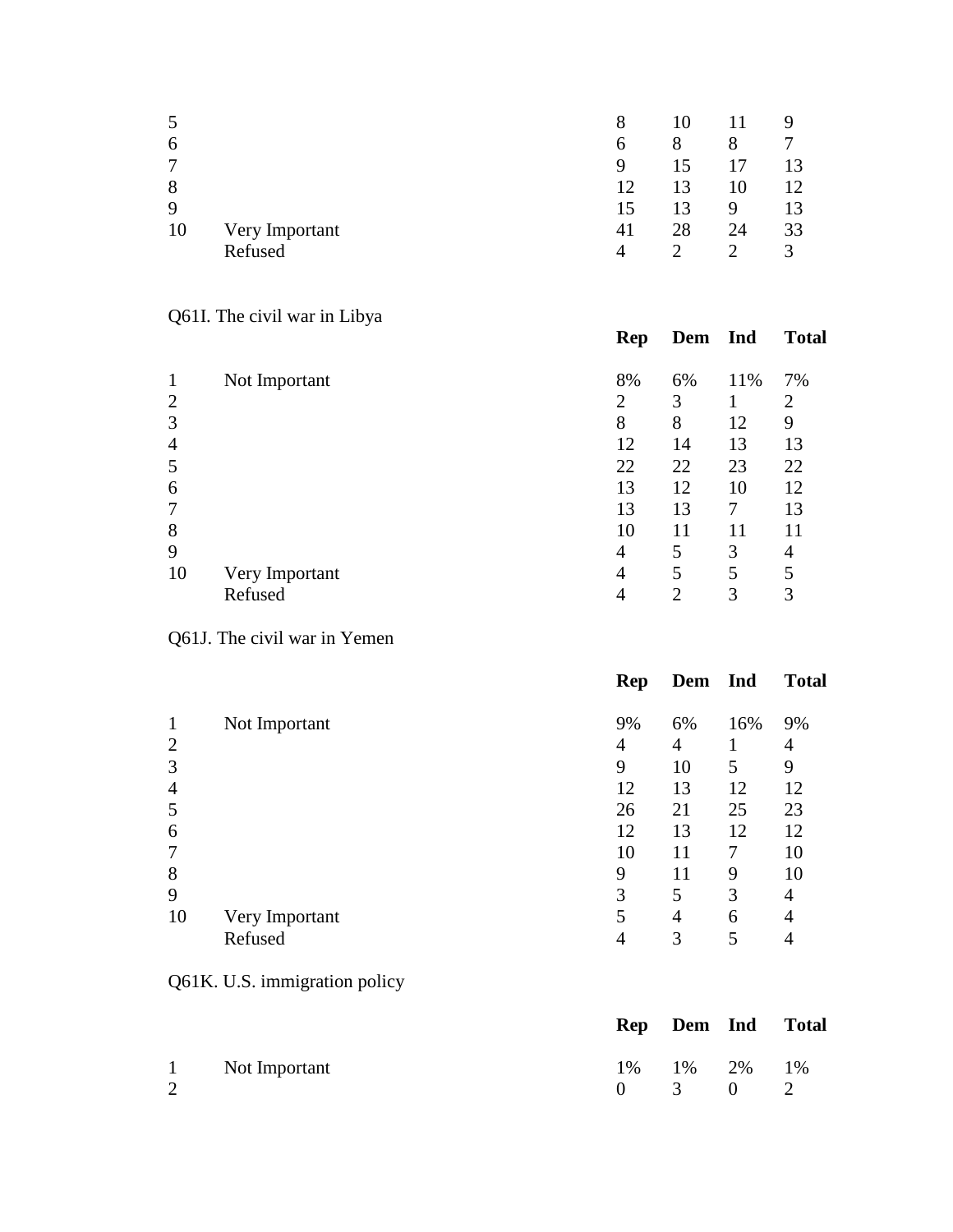| $\mathcal{C}$ |                | 8  |               |                             | 9  |
|---------------|----------------|----|---------------|-----------------------------|----|
| 6             |                | 6  | 8             | 8                           |    |
| 7             |                | 9  |               | 17                          | 13 |
| 8             |                | 12 | 13            | 10                          | 12 |
| 9             |                | 15 | 13            | 9                           | 13 |
| 10            | Very Important | 41 | 28            | 24                          | 33 |
|               | Refused        | 4  | $\mathcal{D}$ | $\mathcal{D}_{\mathcal{L}}$ | 3  |

# Q61I. The civil war in Libya

| $\mathbf{1}$   | Not Important  | 8% | 6% | 11% | 7%             |
|----------------|----------------|----|----|-----|----------------|
| $\overline{2}$ |                | 2  | 3  |     | $\overline{2}$ |
| 3              |                | 8  | 8  | 12  | 9              |
| $\overline{4}$ |                | 12 | 14 | 13  | 13             |
| 5              |                | 22 | 22 | 23  | 22             |
| 6              |                | 13 | 12 | 10  | 12             |
| 7              |                | 13 | 13 | 7   | 13             |
| 8              |                | 10 | 11 | 11  | 11             |
| 9              |                | 4  | 5  | 3   | 4              |
| 10             | Very Important | 4  | 5  | 5   | 5              |
|                | Refused        |    | ∍  | 3   | 3              |

**Rep Dem Ind Total**

# Q61J. The civil war in Yemen

|                |                | Rep | Dem Ind |     | <b>Total</b> |
|----------------|----------------|-----|---------|-----|--------------|
| 1              | Not Important  | 9%  | 6%      | 16% | 9%           |
| $\overline{2}$ |                | 4   | 4       |     | 4            |
| 3              |                | 9   | 10      | 5   | 9            |
| $\overline{4}$ |                | 12  | 13      | 12  | 12           |
| 5              |                | 26  | 21      | 25  | 23           |
| 6              |                | 12  | 13      | 12  | 12           |
| 7              |                | 10  | 11      | 7   | 10           |
| 8              |                | 9   | 11      | 9   | 10           |
| 9              |                | 3   | 5       | 3   | 4            |
| 10             | Very Important | 5   | 4       | 6   | 4            |
|                | Refused        | 4   | 3       | 5   | 4            |

Q61K. U.S. immigration policy

|   |                 |                                               | Rep Dem Ind Total |
|---|-----------------|-----------------------------------------------|-------------------|
| 2 | 1 Not Important | 1% 1% 2% 1%<br>$0 \qquad 3 \qquad 0 \qquad 2$ |                   |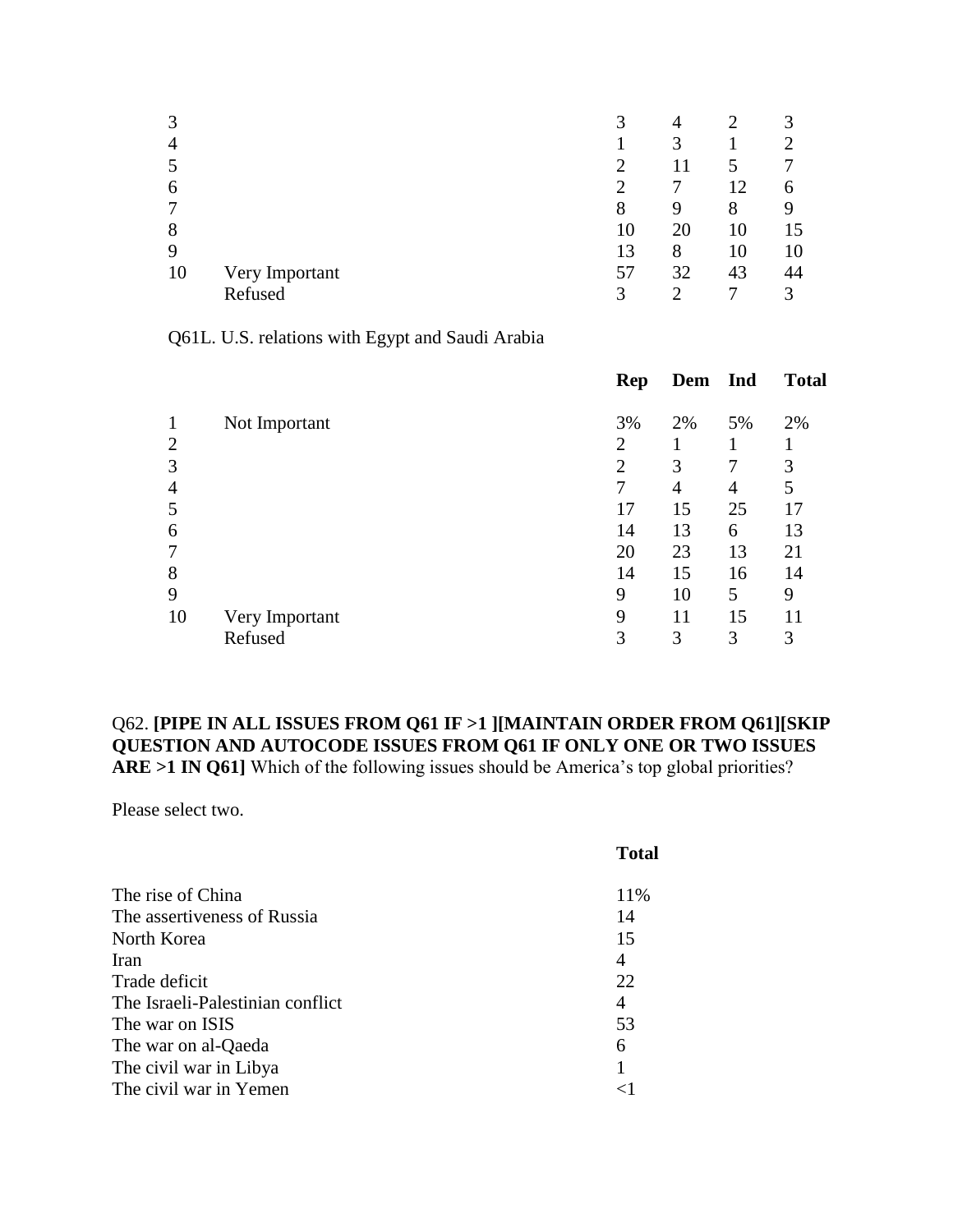| 3              |                | 3  | 4  |                 | $\mathbf{\Omega}$ |
|----------------|----------------|----|----|-----------------|-------------------|
| $\overline{4}$ |                |    | 3  |                 |                   |
| 5              |                |    |    |                 |                   |
| 6              |                |    |    | $\overline{12}$ | h                 |
| 7              |                | 8  | 9  | 8               |                   |
| 8              |                | 10 | 20 | 10              | 15                |
| 9              |                | 13 | 8  | 10              | 10                |
| 10             | Very Important | 57 | 32 | 43              | 44                |
|                | Refused        | 3  |    |                 | 3                 |

Q61L. U.S. relations with Egypt and Saudi Arabia

|                | <b>Rep</b>     |    |                | <b>Total</b> |
|----------------|----------------|----|----------------|--------------|
| Not Important  | 3%             | 2% | 5%             | 2%           |
|                | 2              |    |                |              |
|                | $\overline{2}$ | 3  | 7              | 3            |
|                | 7              | 4  | $\overline{4}$ | 5            |
|                | 17             | 15 | 25             | 17           |
|                | 14             | 13 | 6              | 13           |
|                | 20             | 23 | 13             | 21           |
|                | 14             | 15 | 16             | 14           |
|                | 9              | 10 | 5              | 9            |
| Very Important | 9              | 11 | 15             | 11           |
| Refused        | 3              | 3  | 3              | 3            |
|                |                |    |                | Dem Ind      |

#### Q62. **[PIPE IN ALL ISSUES FROM Q61 IF >1 ][MAINTAIN ORDER FROM Q61][SKIP QUESTION AND AUTOCODE ISSUES FROM Q61 IF ONLY ONE OR TWO ISSUES ARE >1 IN Q61]** Which of the following issues should be America's top global priorities?

Please select two.

| <b>Total</b> |
|--------------|
| 11\%         |
| 14           |
| 15           |
| 4            |
| 22           |
| 4            |
| 53           |
| 6            |
| 1            |
|              |
|              |